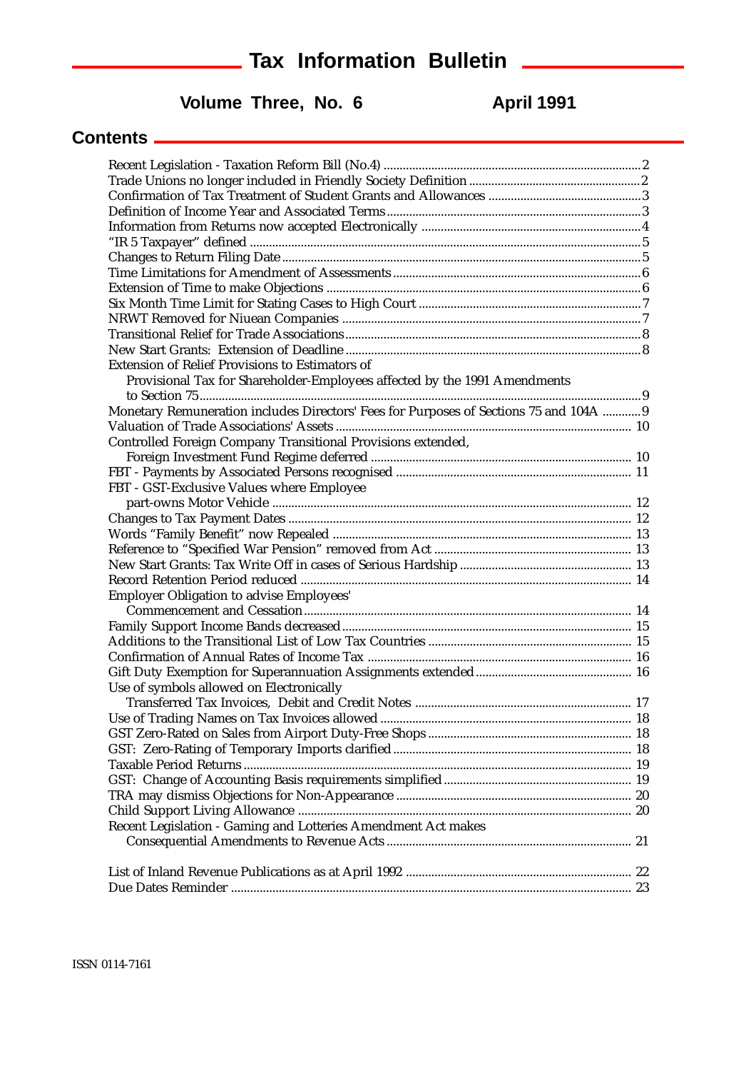### **Tax Information Bulletin Tax Information Bulletin**

### Volume Three, No. 6 **April 1991**

#### **Contents**

| Extension of Relief Provisions to Estimators of                                        |  |
|----------------------------------------------------------------------------------------|--|
| Provisional Tax for Shareholder-Employees affected by the 1991 Amendments              |  |
|                                                                                        |  |
| Monetary Remuneration includes Directors' Fees for Purposes of Sections 75 and 104A  9 |  |
|                                                                                        |  |
| Controlled Foreign Company Transitional Provisions extended,                           |  |
|                                                                                        |  |
|                                                                                        |  |
| FBT - GST-Exclusive Values where Employee                                              |  |
|                                                                                        |  |
|                                                                                        |  |
|                                                                                        |  |
|                                                                                        |  |
|                                                                                        |  |
|                                                                                        |  |
|                                                                                        |  |
|                                                                                        |  |
|                                                                                        |  |
|                                                                                        |  |
|                                                                                        |  |
|                                                                                        |  |
| Use of symbols allowed on Electronically                                               |  |
|                                                                                        |  |
|                                                                                        |  |
|                                                                                        |  |
|                                                                                        |  |
|                                                                                        |  |
|                                                                                        |  |
|                                                                                        |  |
|                                                                                        |  |
| Recent Legislation - Gaming and Lotteries Amendment Act makes                          |  |
|                                                                                        |  |
|                                                                                        |  |
|                                                                                        |  |
|                                                                                        |  |
|                                                                                        |  |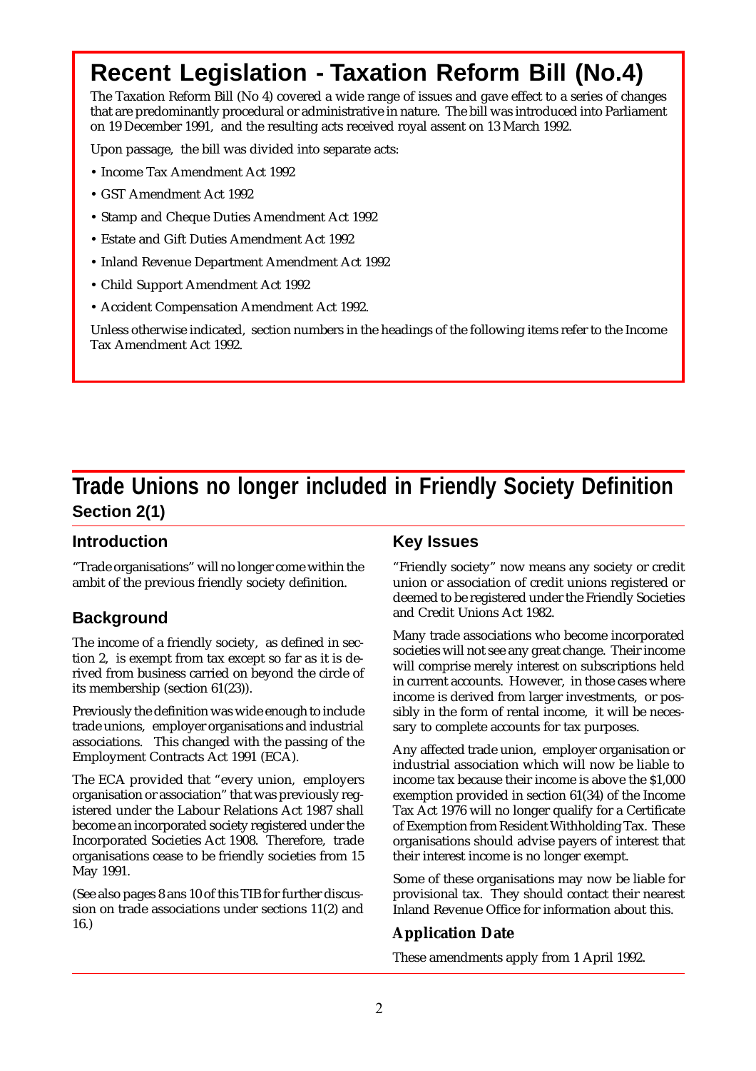# **Recent Legislation - Taxation Reform Bill (No.4)**

The Taxation Reform Bill (No 4) covered a wide range of issues and gave effect to a series of changes that are predominantly procedural or administrative in nature. The bill was introduced into Parliament on 19 December 1991, and the resulting acts received royal assent on 13 March 1992.

Upon passage, the bill was divided into separate acts:

- Income Tax Amendment Act 1992
- GST Amendment Act 1992
- Stamp and Cheque Duties Amendment Act 1992
- Estate and Gift Duties Amendment Act 1992
- Inland Revenue Department Amendment Act 1992
- Child Support Amendment Act 1992
- Accident Compensation Amendment Act 1992.

Unless otherwise indicated, section numbers in the headings of the following items refer to the Income Tax Amendment Act 1992.

### **Trade Unions no longer included in Friendly Society Definition Section 2(1)**

#### **Introduction**

"Trade organisations" will no longer come within the ambit of the previous friendly society definition.

#### **Background**

The income of a friendly society, as defined in section 2, is exempt from tax except so far as it is derived from business carried on beyond the circle of its membership (section 61(23)).

Previously the definition was wide enough to include trade unions, employer organisations and industrial associations. This changed with the passing of the Employment Contracts Act 1991 (ECA).

The ECA provided that "every union, employers organisation or association" that was previously registered under the Labour Relations Act 1987 shall become an incorporated society registered under the Incorporated Societies Act 1908. Therefore, trade organisations cease to be friendly societies from 15 May 1991.

(See also pages 8 ans 10 of this TIB for further discussion on trade associations under sections 11(2) and 16.)

#### **Key Issues**

"Friendly society" now means any society or credit union or association of credit unions registered or deemed to be registered under the Friendly Societies and Credit Unions Act 1982.

Many trade associations who become incorporated societies will not see any great change. Their income will comprise merely interest on subscriptions held in current accounts. However, in those cases where income is derived from larger investments, or possibly in the form of rental income, it will be necessary to complete accounts for tax purposes.

Any affected trade union, employer organisation or industrial association which will now be liable to income tax because their income is above the \$1,000 exemption provided in section 61(34) of the Income Tax Act 1976 will no longer qualify for a Certificate of Exemption from Resident Withholding Tax. These organisations should advise payers of interest that their interest income is no longer exempt.

Some of these organisations may now be liable for provisional tax. They should contact their nearest Inland Revenue Office for information about this.

#### **Application Date**

These amendments apply from 1 April 1992.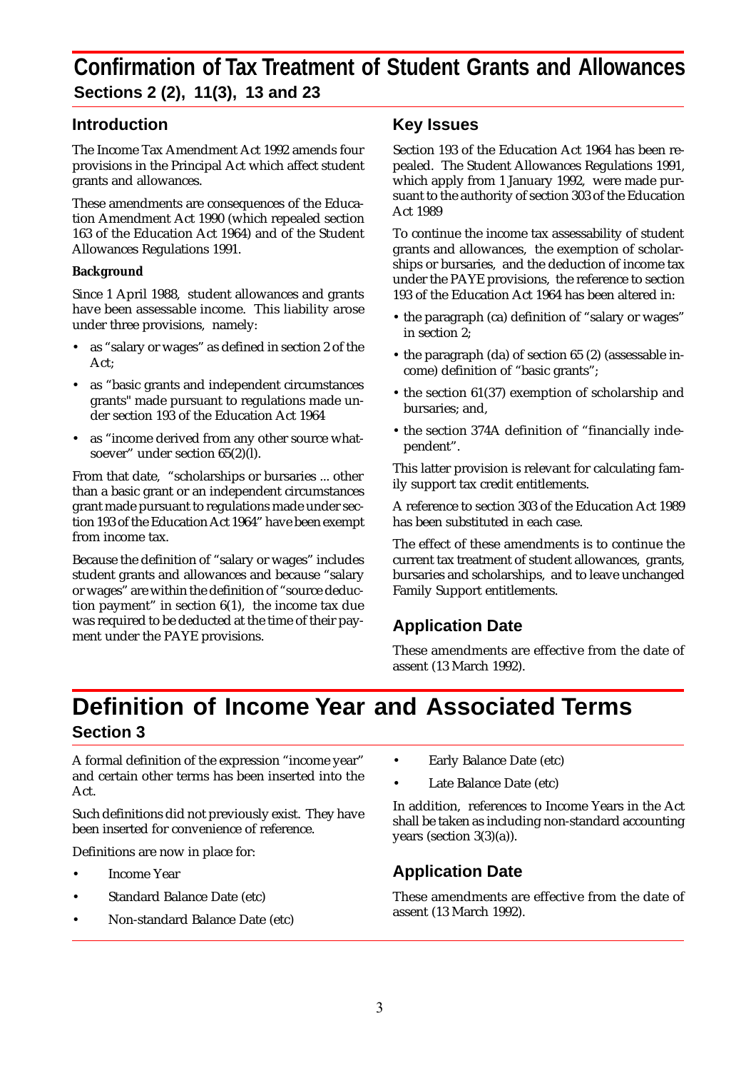### **Confirmation of Tax Treatment of Student Grants and Allowances Sections 2 (2), 11(3), 13 and 23**

#### **Introduction**

The Income Tax Amendment Act 1992 amends four provisions in the Principal Act which affect student grants and allowances.

These amendments are consequences of the Education Amendment Act 1990 (which repealed section 163 of the Education Act 1964) and of the Student Allowances Regulations 1991.

#### **Background**

Since 1 April 1988, student allowances and grants have been assessable income. This liability arose under three provisions, namely:

- as "salary or wages" as defined in section 2 of the Act;
- as "basic grants and independent circumstances" grants" made pursuant to regulations made under section 193 of the Education Act 1964
- as "income derived from any other source whatsoever" under section 65(2)(l).

From that date, "scholarships or bursaries ... other than a basic grant or an independent circumstances grant made pursuant to regulations made under section 193 of the Education Act 1964" have been exempt from income tax.

Because the definition of "salary or wages" includes student grants and allowances and because "salary or wages" are within the definition of "source deduction payment" in section 6(1), the income tax due was required to be deducted at the time of their payment under the PAYE provisions.

#### **Key Issues**

Section 193 of the Education Act 1964 has been repealed. The Student Allowances Regulations 1991, which apply from 1 January 1992, were made pursuant to the authority of section 303 of the Education Act 1989

To continue the income tax assessability of student grants and allowances, the exemption of scholarships or bursaries, and the deduction of income tax under the PAYE provisions, the reference to section 193 of the Education Act 1964 has been altered in:

- the paragraph (ca) definition of "salary or wages" in section 2;
- the paragraph (da) of section 65 (2) (assessable income) definition of "basic grants";
- the section 61(37) exemption of scholarship and bursaries; and,
- the section 374A definition of "financially independent".

This latter provision is relevant for calculating family support tax credit entitlements.

A reference to section 303 of the Education Act 1989 has been substituted in each case.

The effect of these amendments is to continue the current tax treatment of student allowances, grants, bursaries and scholarships, and to leave unchanged Family Support entitlements.

#### **Application Date**

These amendments are effective from the date of assent (13 March 1992).

### **Definition of Income Year and Associated Terms Section 3**

A formal definition of the expression "income year" and certain other terms has been inserted into the Act.

Such definitions did not previously exist. They have been inserted for convenience of reference.

Definitions are now in place for:

- Income Year
- Standard Balance Date (etc)
- Non-standard Balance Date (etc)
- Early Balance Date (etc)
- Late Balance Date (etc)

In addition, references to Income Years in the Act shall be taken as including non-standard accounting years (section 3(3)(a)).

#### **Application Date**

These amendments are effective from the date of assent (13 March 1992).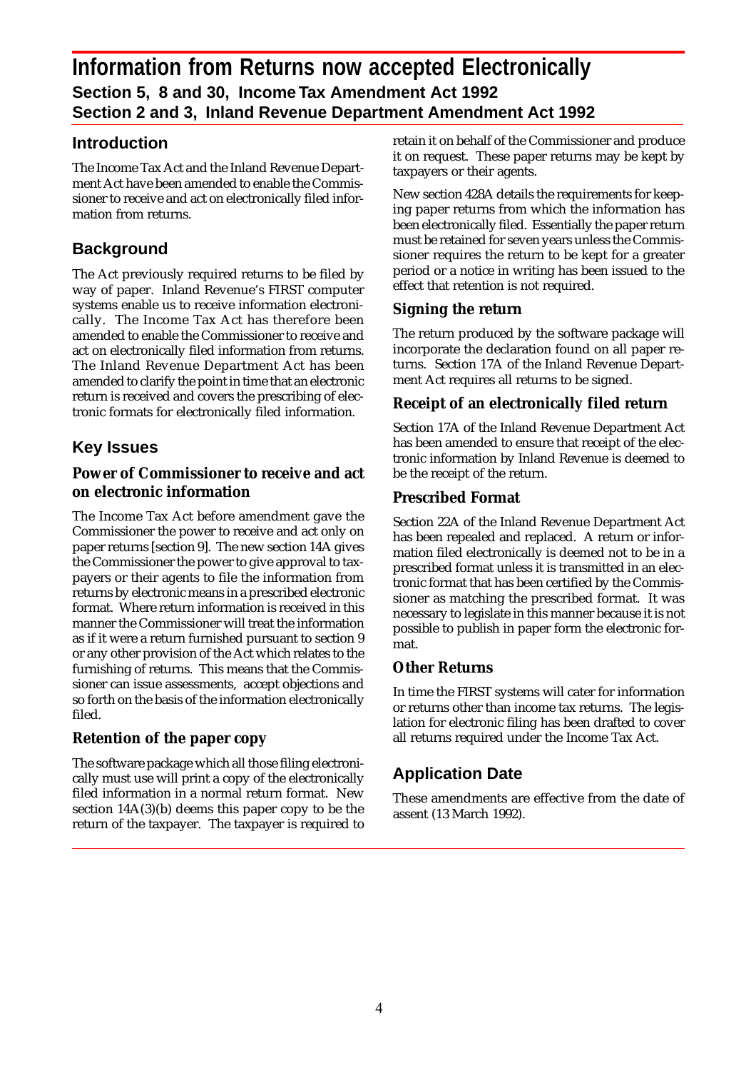#### **Introduction**

The Income Tax Act and the Inland Revenue Department Act have been amended to enable the Commissioner to receive and act on electronically filed information from returns.

#### **Background**

The Act previously required returns to be filed by way of paper. Inland Revenue's FIRST computer systems enable us to receive information electronically. The Income Tax Act has therefore been amended to enable the Commissioner to receive and act on electronically filed information from returns. The Inland Revenue Department Act has been amended to clarify the point in time that an electronic return is received and covers the prescribing of electronic formats for electronically filed information.

#### **Key Issues**

#### **Power of Commissioner to receive and act on electronic information**

The Income Tax Act before amendment gave the Commissioner the power to receive and act only on paper returns [section 9]. The new section 14A gives the Commissioner the power to give approval to taxpayers or their agents to file the information from returns by electronic means in a prescribed electronic format. Where return information is received in this manner the Commissioner will treat the information as if it were a return furnished pursuant to section 9 or any other provision of the Act which relates to the furnishing of returns. This means that the Commissioner can issue assessments, accept objections and so forth on the basis of the information electronically filed.

#### **Retention of the paper copy**

The software package which all those filing electronically must use will print a copy of the electronically filed information in a normal return format. New section 14A(3)(b) deems this paper copy to be the return of the taxpayer. The taxpayer is required to retain it on behalf of the Commissioner and produce it on request. These paper returns may be kept by taxpayers or their agents.

New section 428A details the requirements for keeping paper returns from which the information has been electronically filed. Essentially the paper return must be retained for seven years unless the Commissioner requires the return to be kept for a greater period or a notice in writing has been issued to the effect that retention is not required.

#### **Signing the return**

The return produced by the software package will incorporate the declaration found on all paper returns. Section 17A of the Inland Revenue Department Act requires all returns to be signed.

#### **Receipt of an electronically filed return**

Section 17A of the Inland Revenue Department Act has been amended to ensure that receipt of the electronic information by Inland Revenue is deemed to be the receipt of the return.

#### **Prescribed Format**

Section 22A of the Inland Revenue Department Act has been repealed and replaced. A return or information filed electronically is deemed not to be in a prescribed format unless it is transmitted in an electronic format that has been certified by the Commissioner as matching the prescribed format. It was necessary to legislate in this manner because it is not possible to publish in paper form the electronic format.

#### **Other Returns**

In time the FIRST systems will cater for information or returns other than income tax returns. The legislation for electronic filing has been drafted to cover all returns required under the Income Tax Act.

#### **Application Date**

These amendments are effective from the date of assent (13 March 1992).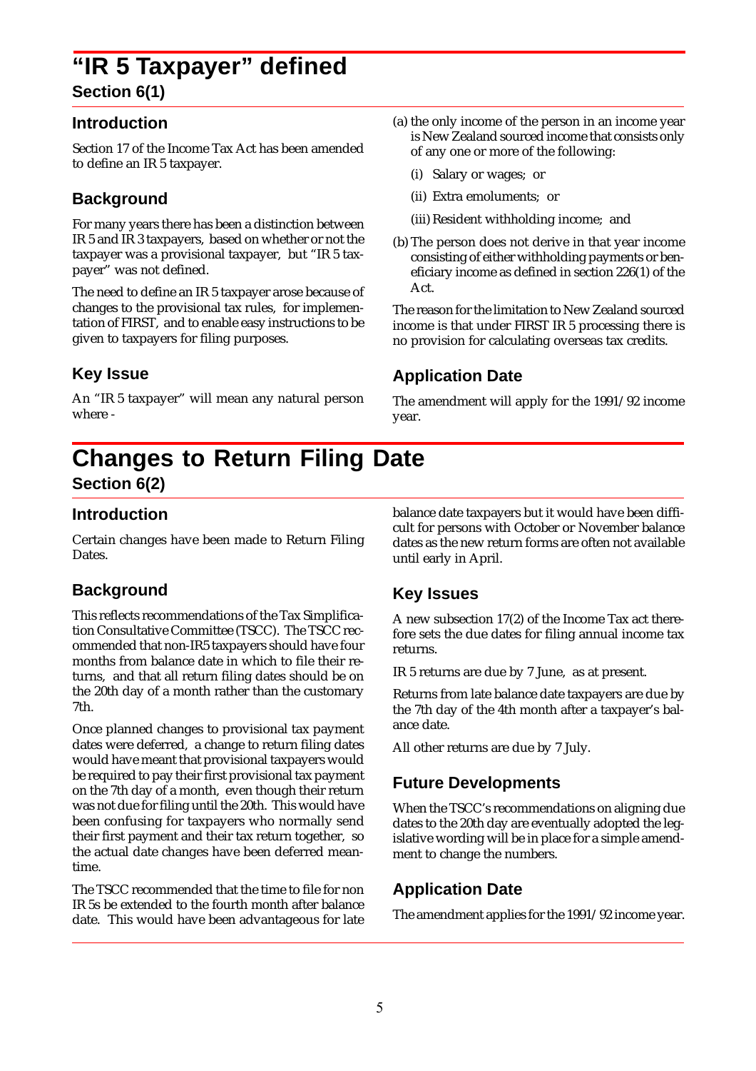### **"IR 5 Taxpayer" defined Section 6(1)**

#### **Introduction**

Section 17 of the Income Tax Act has been amended to define an IR 5 taxpayer.

#### **Background**

For many years there has been a distinction between IR 5 and IR 3 taxpayers, based on whether or not the taxpayer was a provisional taxpayer, but "IR 5 taxpayer" was not defined.

The need to define an IR 5 taxpayer arose because of changes to the provisional tax rules, for implementation of FIRST, and to enable easy instructions to be given to taxpayers for filing purposes.

#### **Key Issue**

An "IR 5 taxpayer" will mean any natural person where -

- (a) the only income of the person in an income year is New Zealand sourced income that consists only of any one or more of the following:
	- (i) Salary or wages; or
	- (ii) Extra emoluments; or
	- (iii) Resident withholding income; and
- (b) The person does not derive in that year income consisting of either withholding payments or beneficiary income as defined in section 226(1) of the Act.

The reason for the limitation to New Zealand sourced income is that under FIRST IR 5 processing there is no provision for calculating overseas tax credits.

#### **Application Date**

The amendment will apply for the 1991/92 income year.

# **Changes to Return Filing Date**

### **Section 6(2)**

#### **Introduction**

Certain changes have been made to Return Filing Dates.

#### **Background**

This reflects recommendations of the Tax Simplification Consultative Committee (TSCC). The TSCC recommended that non-IR5 taxpayers should have four months from balance date in which to file their returns, and that all return filing dates should be on the 20th day of a month rather than the customary 7th.

Once planned changes to provisional tax payment dates were deferred, a change to return filing dates would have meant that provisional taxpayers would be required to pay their first provisional tax payment on the 7th day of a month, even though their return was not due for filing until the 20th. This would have been confusing for taxpayers who normally send their first payment and their tax return together, so the actual date changes have been deferred meantime.

The TSCC recommended that the time to file for non IR 5s be extended to the fourth month after balance date. This would have been advantageous for late balance date taxpayers but it would have been difficult for persons with October or November balance dates as the new return forms are often not available until early in April.

#### **Key Issues**

A new subsection 17(2) of the Income Tax act therefore sets the due dates for filing annual income tax returns.

IR 5 returns are due by 7 June, as at present.

Returns from late balance date taxpayers are due by the 7th day of the 4th month after a taxpayer's balance date.

All other returns are due by 7 July.

#### **Future Developments**

When the TSCC's recommendations on aligning due dates to the 20th day are eventually adopted the legislative wording will be in place for a simple amendment to change the numbers.

#### **Application Date**

The amendment applies for the 1991/92 income year.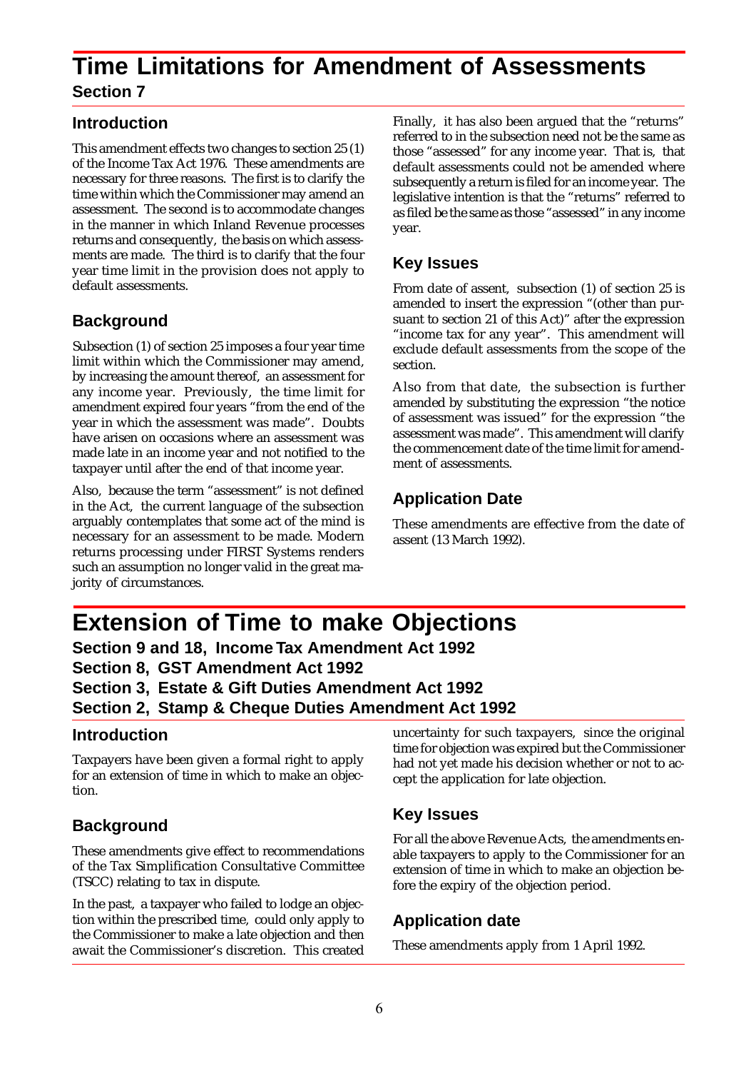### **Time Limitations for Amendment of Assessments Section 7**

#### **Introduction**

This amendment effects two changes to section 25 (1) of the Income Tax Act 1976. These amendments are necessary for three reasons. The first is to clarify the time within which the Commissioner may amend an assessment. The second is to accommodate changes in the manner in which Inland Revenue processes returns and consequently, the basis on which assessments are made. The third is to clarify that the four year time limit in the provision does not apply to default assessments.

#### **Background**

Subsection (1) of section 25 imposes a four year time limit within which the Commissioner may amend, by increasing the amount thereof, an assessment for any income year. Previously, the time limit for amendment expired four years "from the end of the year in which the assessment was made". Doubts have arisen on occasions where an assessment was made late in an income year and not notified to the taxpayer until after the end of that income year.

Also, because the term "assessment" is not defined in the Act, the current language of the subsection arguably contemplates that some act of the mind is necessary for an assessment to be made. Modern returns processing under FIRST Systems renders such an assumption no longer valid in the great majority of circumstances.

Finally, it has also been argued that the "returns" referred to in the subsection need not be the same as those "assessed" for any income year. That is, that default assessments could not be amended where subsequently a return is filed for an income year. The legislative intention is that the "returns" referred to as filed be the same as those "assessed" in any income year.

#### **Key Issues**

From date of assent, subsection (1) of section 25 is amended to insert the expression "(other than pursuant to section 21 of this Act)" after the expression "income tax for any year". This amendment will exclude default assessments from the scope of the section.

Also from that date, the subsection is further amended by substituting the expression "the notice of assessment was issued" for the expression "the assessment was made". This amendment will clarify the commencement date of the time limit for amendment of assessments.

#### **Application Date**

These amendments are effective from the date of assent (13 March 1992).

### **Extension of Time to make Objections**

**Section 9 and 18, Income Tax Amendment Act 1992 Section 8, GST Amendment Act 1992 Section 3, Estate & Gift Duties Amendment Act 1992 Section 2, Stamp & Cheque Duties Amendment Act 1992**

#### **Introduction**

Taxpayers have been given a formal right to apply for an extension of time in which to make an objection.

#### **Background**

These amendments give effect to recommendations of the Tax Simplification Consultative Committee (TSCC) relating to tax in dispute.

In the past, a taxpayer who failed to lodge an objection within the prescribed time, could only apply to the Commissioner to make a late objection and then await the Commissioner's discretion. This created uncertainty for such taxpayers, since the original time for objection was expired but the Commissioner had not yet made his decision whether or not to accept the application for late objection.

#### **Key Issues**

For all the above Revenue Acts, the amendments enable taxpayers to apply to the Commissioner for an extension of time in which to make an objection before the expiry of the objection period.

#### **Application date**

These amendments apply from 1 April 1992.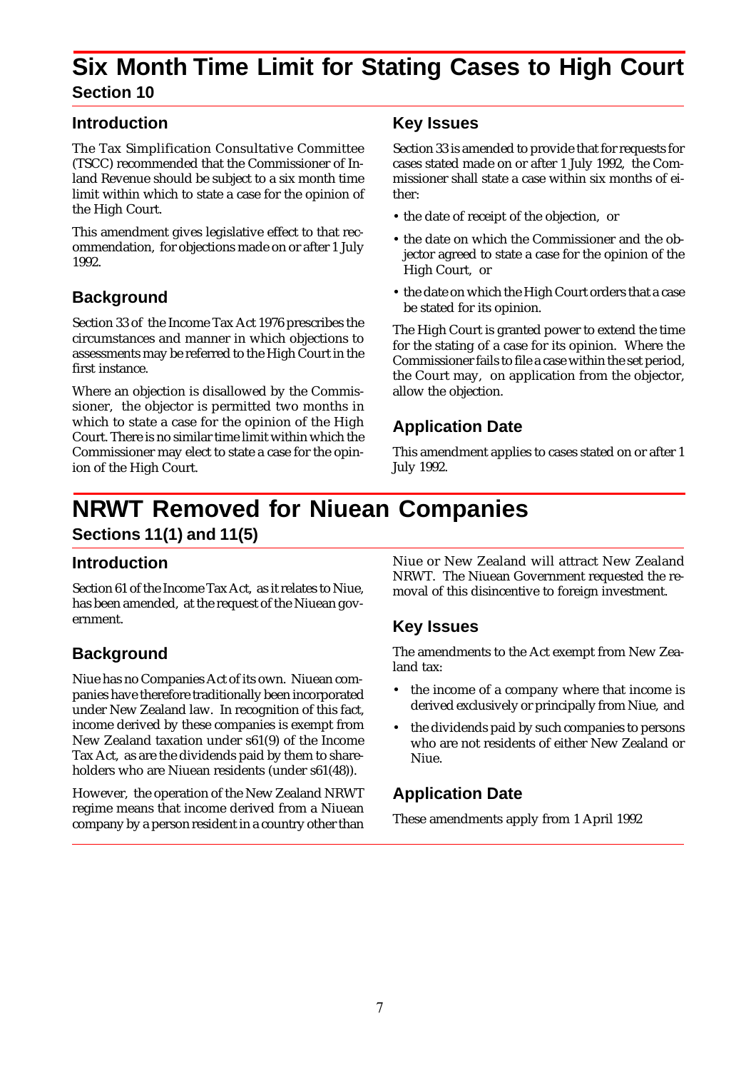### **Six Month Time Limit for Stating Cases to High Court Section 10**

#### **Introduction**

The Tax Simplification Consultative Committee (TSCC) recommended that the Commissioner of Inland Revenue should be subject to a six month time limit within which to state a case for the opinion of the High Court.

This amendment gives legislative effect to that recommendation, for objections made on or after 1 July 1992.

#### **Background**

Section 33 of the Income Tax Act 1976 prescribes the circumstances and manner in which objections to assessments may be referred to the High Court in the first instance.

Where an objection is disallowed by the Commissioner, the objector is permitted two months in which to state a case for the opinion of the High Court. There is no similar time limit within which the Commissioner may elect to state a case for the opinion of the High Court.

#### **Key Issues**

Section 33 is amended to provide that for requests for cases stated made on or after 1 July 1992, the Commissioner shall state a case within six months of either:

- the date of receipt of the objection, or
- the date on which the Commissioner and the objector agreed to state a case for the opinion of the High Court, or
- the date on which the High Court orders that a case be stated for its opinion.

The High Court is granted power to extend the time for the stating of a case for its opinion. Where the Commissioner fails to file a case within the set period, the Court may, on application from the objector, allow the objection.

#### **Application Date**

This amendment applies to cases stated on or after 1 July 1992.

### **NRWT Removed for Niuean Companies Sections 11(1) and 11(5)**

#### **Introduction**

Section 61 of the Income Tax Act, as it relates to Niue, has been amended, at the request of the Niuean government.

#### **Background**

Niue has no Companies Act of its own. Niuean companies have therefore traditionally been incorporated under New Zealand law. In recognition of this fact, income derived by these companies is exempt from New Zealand taxation under s61(9) of the Income Tax Act, as are the dividends paid by them to shareholders who are Niuean residents (under s61(48)).

However, the operation of the New Zealand NRWT regime means that income derived from a Niuean company by a person resident in a country other than Niue or New Zealand will attract New Zealand NRWT. The Niuean Government requested the removal of this disincentive to foreign investment.

#### **Key Issues**

The amendments to the Act exempt from New Zealand tax:

- the income of a company where that income is derived exclusively or principally from Niue, and
- the dividends paid by such companies to persons who are not residents of either New Zealand or Niue.

#### **Application Date**

These amendments apply from 1 April 1992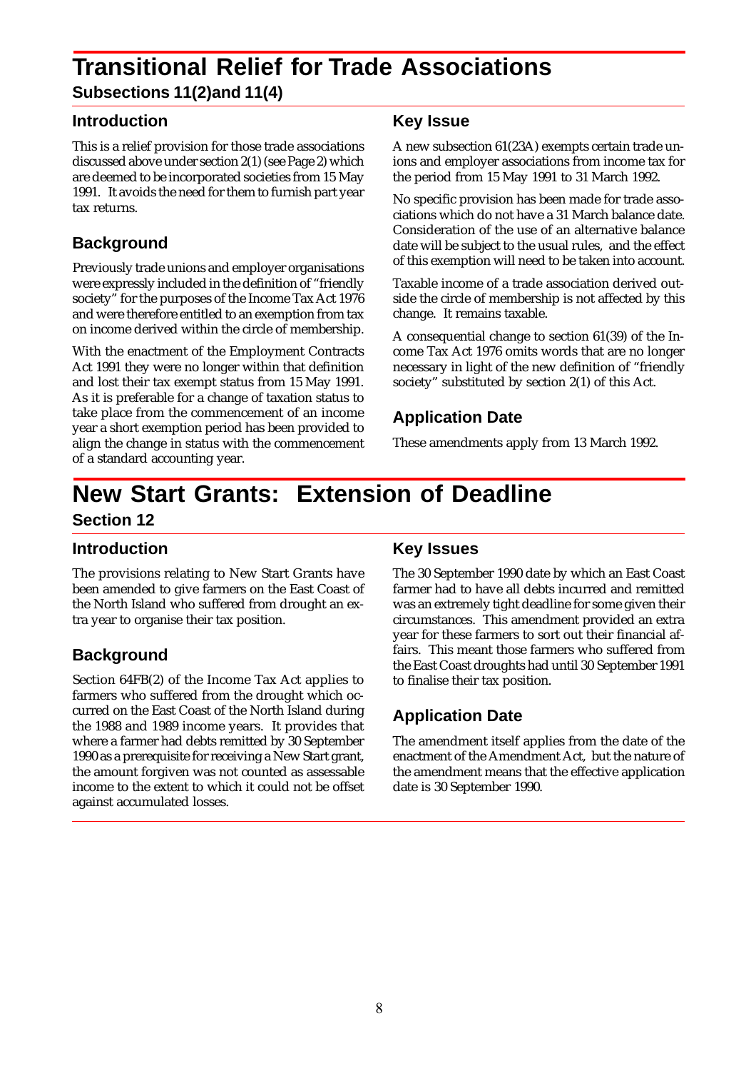# **Transitional Relief for Trade Associations**

**Subsections 11(2)and 11(4)**

#### **Introduction**

This is a relief provision for those trade associations discussed above under section 2(1) (see Page 2) which are deemed to be incorporated societies from 15 May 1991. It avoids the need for them to furnish part year tax returns.

#### **Background**

Previously trade unions and employer organisations were expressly included in the definition of "friendly society" for the purposes of the Income Tax Act 1976 and were therefore entitled to an exemption from tax on income derived within the circle of membership.

With the enactment of the Employment Contracts Act 1991 they were no longer within that definition and lost their tax exempt status from 15 May 1991. As it is preferable for a change of taxation status to take place from the commencement of an income year a short exemption period has been provided to align the change in status with the commencement of a standard accounting year.

#### **Key Issue**

A new subsection 61(23A) exempts certain trade unions and employer associations from income tax for the period from 15 May 1991 to 31 March 1992.

No specific provision has been made for trade associations which do not have a 31 March balance date. Consideration of the use of an alternative balance date will be subject to the usual rules, and the effect of this exemption will need to be taken into account.

Taxable income of a trade association derived outside the circle of membership is not affected by this change. It remains taxable.

A consequential change to section 61(39) of the Income Tax Act 1976 omits words that are no longer necessary in light of the new definition of "friendly society" substituted by section 2(1) of this Act.

#### **Application Date**

These amendments apply from 13 March 1992.

### **New Start Grants: Extension of Deadline Section 12**

#### **Introduction**

The provisions relating to New Start Grants have been amended to give farmers on the East Coast of the North Island who suffered from drought an extra year to organise their tax position.

#### **Background**

Section 64FB(2) of the Income Tax Act applies to farmers who suffered from the drought which occurred on the East Coast of the North Island during the 1988 and 1989 income years. It provides that where a farmer had debts remitted by 30 September 1990 as a prerequisite for receiving a New Start grant, the amount forgiven was not counted as assessable income to the extent to which it could not be offset against accumulated losses.

#### **Key Issues**

The 30 September 1990 date by which an East Coast farmer had to have all debts incurred and remitted was an extremely tight deadline for some given their circumstances. This amendment provided an extra year for these farmers to sort out their financial affairs. This meant those farmers who suffered from the East Coast droughts had until 30 September 1991 to finalise their tax position.

#### **Application Date**

The amendment itself applies from the date of the enactment of the Amendment Act, but the nature of the amendment means that the effective application date is 30 September 1990.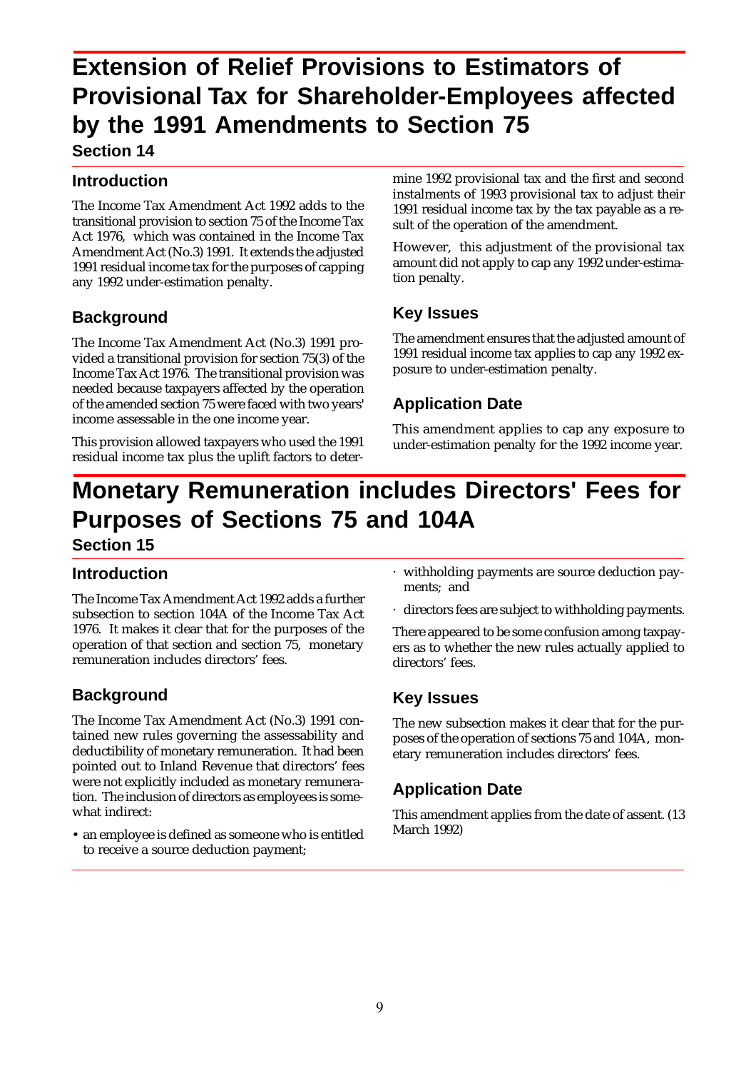### **Extension of Relief Provisions to Estimators of Provisional Tax for Shareholder-Employees affected by the 1991 Amendments to Section 75 Section 14**

#### **Introduction**

The Income Tax Amendment Act 1992 adds to the transitional provision to section 75 of the Income Tax Act 1976, which was contained in the Income Tax Amendment Act (No.3) 1991. It extends the adjusted 1991 residual income tax for the purposes of capping any 1992 under-estimation penalty.

#### **Background**

The Income Tax Amendment Act (No.3) 1991 provided a transitional provision for section 75(3) of the Income Tax Act 1976. The transitional provision was needed because taxpayers affected by the operation of the amended section 75 were faced with two years' income assessable in the one income year.

This provision allowed taxpayers who used the 1991 residual income tax plus the uplift factors to determine 1992 provisional tax and the first and second instalments of 1993 provisional tax to adjust their 1991 residual income tax by the tax payable as a result of the operation of the amendment.

However, this adjustment of the provisional tax amount did not apply to cap any 1992 under-estimation penalty.

#### **Key Issues**

The amendment ensures that the adjusted amount of 1991 residual income tax applies to cap any 1992 exposure to under-estimation penalty.

#### **Application Date**

This amendment applies to cap any exposure to under-estimation penalty for the 1992 income year.

# **Monetary Remuneration includes Directors' Fees for Purposes of Sections 75 and 104A**

**Section 15**

#### **Introduction**

The Income Tax Amendment Act 1992 adds a further subsection to section 104A of the Income Tax Act 1976. It makes it clear that for the purposes of the operation of that section and section 75, monetary remuneration includes directors' fees.

#### **Background**

The Income Tax Amendment Act (No.3) 1991 contained new rules governing the assessability and deductibility of monetary remuneration. It had been pointed out to Inland Revenue that directors' fees were not explicitly included as monetary remuneration. The inclusion of directors as employees is somewhat indirect:

• an employee is defined as someone who is entitled to receive a source deduction payment;

- · withholding payments are source deduction payments; and
- · directors fees are subject to withholding payments.

There appeared to be some confusion among taxpayers as to whether the new rules actually applied to directors' fees.

#### **Key Issues**

The new subsection makes it clear that for the purposes of the operation of sections 75 and 104A, monetary remuneration includes directors' fees.

#### **Application Date**

This amendment applies from the date of assent. (13 March 1992)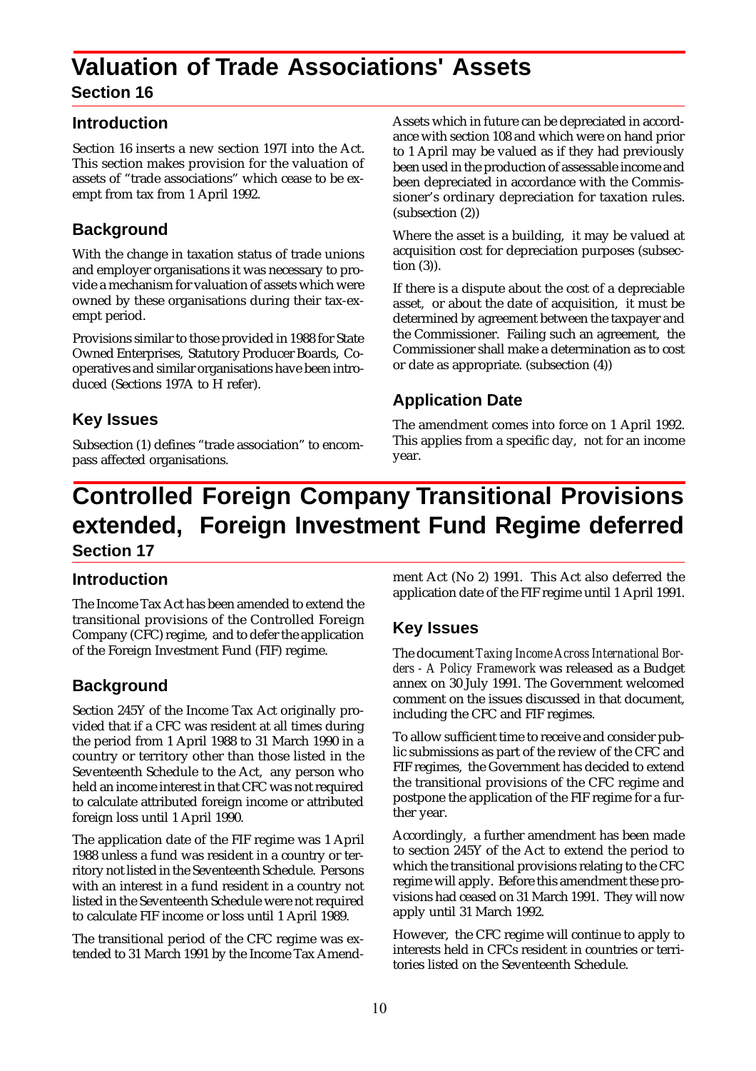# **Valuation of Trade Associations' Assets**

#### **Section 16**

#### **Introduction**

Section 16 inserts a new section 197I into the Act. This section makes provision for the valuation of assets of "trade associations" which cease to be exempt from tax from 1 April 1992.

#### **Background**

With the change in taxation status of trade unions and employer organisations it was necessary to provide a mechanism for valuation of assets which were owned by these organisations during their tax-exempt period.

Provisions similar to those provided in 1988 for State Owned Enterprises, Statutory Producer Boards, Cooperatives and similar organisations have been introduced (Sections 197A to H refer).

#### **Key Issues**

Subsection (1) defines "trade association" to encompass affected organisations.

Assets which in future can be depreciated in accordance with section 108 and which were on hand prior to 1 April may be valued as if they had previously been used in the production of assessable income and been depreciated in accordance with the Commissioner's ordinary depreciation for taxation rules. (subsection (2))

Where the asset is a building, it may be valued at acquisition cost for depreciation purposes (subsection (3)).

If there is a dispute about the cost of a depreciable asset, or about the date of acquisition, it must be determined by agreement between the taxpayer and the Commissioner. Failing such an agreement, the Commissioner shall make a determination as to cost or date as appropriate. (subsection (4))

#### **Application Date**

The amendment comes into force on 1 April 1992. This applies from a specific day, not for an income year.

### **Controlled Foreign Company Transitional Provisions extended, Foreign Investment Fund Regime deferred Section 17**

#### **Introduction**

The Income Tax Act has been amended to extend the transitional provisions of the Controlled Foreign Company (CFC) regime, and to defer the application of the Foreign Investment Fund (FIF) regime.

#### **Background**

Section 245Y of the Income Tax Act originally provided that if a CFC was resident at all times during the period from 1 April 1988 to 31 March 1990 in a country or territory other than those listed in the Seventeenth Schedule to the Act, any person who held an income interest in that CFC was not required to calculate attributed foreign income or attributed foreign loss until 1 April 1990.

The application date of the FIF regime was 1 April 1988 unless a fund was resident in a country or territory not listed in the Seventeenth Schedule. Persons with an interest in a fund resident in a country not listed in the Seventeenth Schedule were not required to calculate FIF income or loss until 1 April 1989.

The transitional period of the CFC regime was extended to 31 March 1991 by the Income Tax Amendment Act (No 2) 1991. This Act also deferred the application date of the FIF regime until 1 April 1991.

#### **Key Issues**

The document *Taxing Income Across International Borders - A Policy Framework* was released as a Budget annex on 30 July 1991. The Government welcomed comment on the issues discussed in that document, including the CFC and FIF regimes.

To allow sufficient time to receive and consider public submissions as part of the review of the CFC and FIF regimes, the Government has decided to extend the transitional provisions of the CFC regime and postpone the application of the FIF regime for a further year.

Accordingly, a further amendment has been made to section 245Y of the Act to extend the period to which the transitional provisions relating to the CFC regime will apply. Before this amendment these provisions had ceased on 31 March 1991. They will now apply until 31 March 1992.

However, the CFC regime will continue to apply to interests held in CFCs resident in countries or territories listed on the Seventeenth Schedule.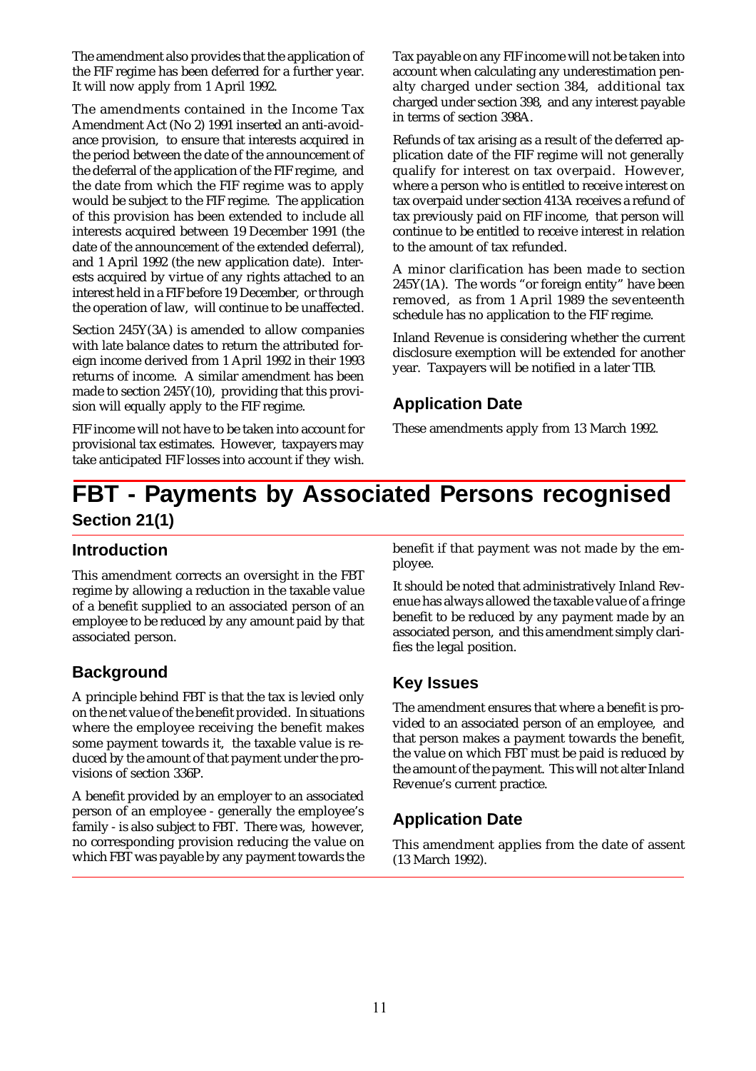The amendment also provides that the application of the FIF regime has been deferred for a further year. It will now apply from 1 April 1992.

The amendments contained in the Income Tax Amendment Act (No 2) 1991 inserted an anti-avoidance provision, to ensure that interests acquired in the period between the date of the announcement of the deferral of the application of the FIF regime, and the date from which the FIF regime was to apply would be subject to the FIF regime. The application of this provision has been extended to include all interests acquired between 19 December 1991 (the date of the announcement of the extended deferral), and 1 April 1992 (the new application date). Interests acquired by virtue of any rights attached to an interest held in a FIF before 19 December, or through the operation of law, will continue to be unaffected.

Section 245Y(3A) is amended to allow companies with late balance dates to return the attributed foreign income derived from 1 April 1992 in their 1993 returns of income. A similar amendment has been made to section 245Y(10), providing that this provision will equally apply to the FIF regime.

FIF income will not have to be taken into account for provisional tax estimates. However, taxpayers may take anticipated FIF losses into account if they wish. Tax payable on any FIF income will not be taken into account when calculating any underestimation penalty charged under section 384, additional tax charged under section 398, and any interest payable in terms of section 398A.

Refunds of tax arising as a result of the deferred application date of the FIF regime will not generally qualify for interest on tax overpaid. However, where a person who is entitled to receive interest on tax overpaid under section 413A receives a refund of tax previously paid on FIF income, that person will continue to be entitled to receive interest in relation to the amount of tax refunded.

A minor clarification has been made to section 245Y(1A). The words "or foreign entity" have been removed, as from 1 April 1989 the seventeenth schedule has no application to the FIF regime.

Inland Revenue is considering whether the current disclosure exemption will be extended for another year. Taxpayers will be notified in a later TIB.

#### **Application Date**

These amendments apply from 13 March 1992.

### **FBT - Payments by Associated Persons recognised Section 21(1)**

#### **Introduction**

This amendment corrects an oversight in the FBT regime by allowing a reduction in the taxable value of a benefit supplied to an associated person of an employee to be reduced by any amount paid by that associated person.

#### **Background**

A principle behind FBT is that the tax is levied only on the net value of the benefit provided. In situations where the employee receiving the benefit makes some payment towards it, the taxable value is reduced by the amount of that payment under the provisions of section 336P.

A benefit provided by an employer to an associated person of an employee - generally the employee's family - is also subject to FBT. There was, however, no corresponding provision reducing the value on which FBT was payable by any payment towards the benefit if that payment was not made by the employee.

It should be noted that administratively Inland Revenue has always allowed the taxable value of a fringe benefit to be reduced by any payment made by an associated person, and this amendment simply clarifies the legal position.

#### **Key Issues**

The amendment ensures that where a benefit is provided to an associated person of an employee, and that person makes a payment towards the benefit, the value on which FBT must be paid is reduced by the amount of the payment. This will not alter Inland Revenue's current practice.

#### **Application Date**

This amendment applies from the date of assent (13 March 1992).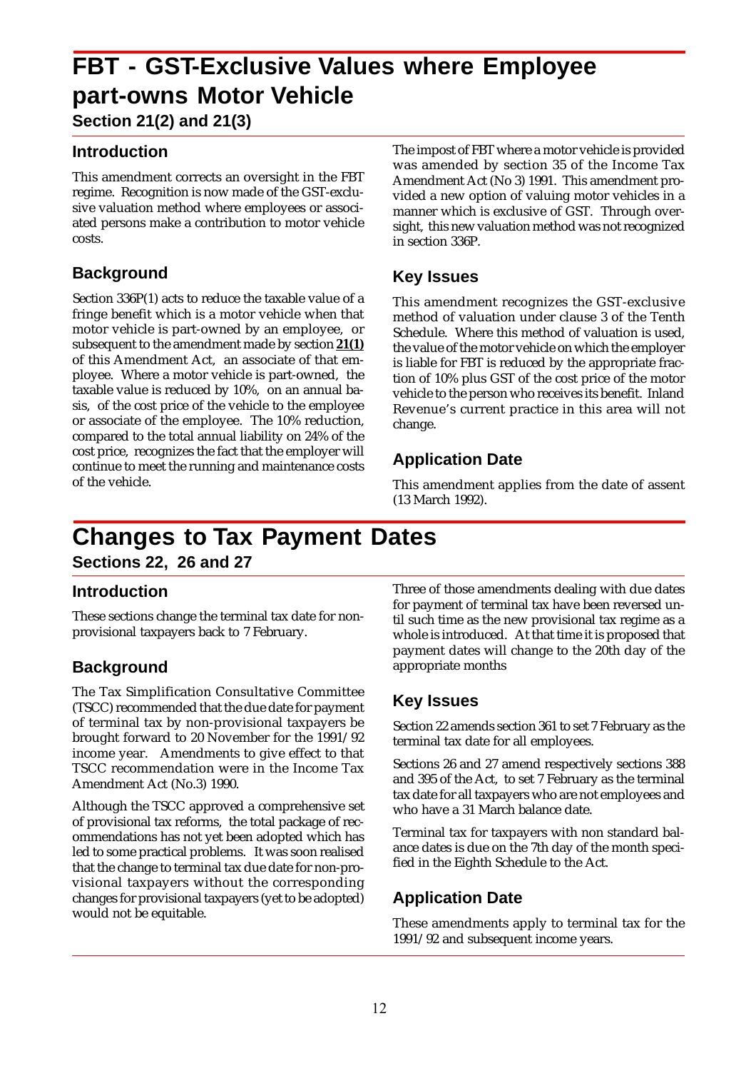# **FBT - GST-Exclusive Values where Employee part-owns Motor Vehicle**

**Section 21(2) and 21(3)**

#### **Introduction**

This amendment corrects an oversight in the FBT regime. Recognition is now made of the GST-exclusive valuation method where employees or associated persons make a contribution to motor vehicle costs.

#### **Background**

Section 336P(1) acts to reduce the taxable value of a fringe benefit which is a motor vehicle when that motor vehicle is part-owned by an employee, or subsequent to the amendment made by section **21(1)** of this Amendment Act, an associate of that employee. Where a motor vehicle is part-owned, the taxable value is reduced by 10%, on an annual basis, of the cost price of the vehicle to the employee or associate of the employee. The 10% reduction, compared to the total annual liability on 24% of the cost price, recognizes the fact that the employer will continue to meet the running and maintenance costs of the vehicle.

The impost of FBT where a motor vehicle is provided was amended by section 35 of the Income Tax Amendment Act (No 3) 1991. This amendment provided a new option of valuing motor vehicles in a manner which is exclusive of GST. Through oversight, this new valuation method was not recognized in section 336P.

#### **Key Issues**

This amendment recognizes the GST-exclusive method of valuation under clause 3 of the Tenth Schedule. Where this method of valuation is used, the value of the motor vehicle on which the employer is liable for FBT is reduced by the appropriate fraction of 10% plus GST of the cost price of the motor vehicle to the person who receives its benefit. Inland Revenue's current practice in this area will not change.

#### **Application Date**

This amendment applies from the date of assent (13 March 1992).

### **Changes to Tax Payment Dates**

**Sections 22, 26 and 27**

#### **Introduction**

These sections change the terminal tax date for nonprovisional taxpayers back to 7 February.

#### **Background**

The Tax Simplification Consultative Committee (TSCC) recommended that the due date for payment of terminal tax by non-provisional taxpayers be brought forward to 20 November for the 1991/92 income year. Amendments to give effect to that TSCC recommendation were in the Income Tax Amendment Act (No.3) 1990.

Although the TSCC approved a comprehensive set of provisional tax reforms, the total package of recommendations has not yet been adopted which has led to some practical problems. It was soon realised that the change to terminal tax due date for non-provisional taxpayers without the corresponding changes for provisional taxpayers (yet to be adopted) would not be equitable.

Three of those amendments dealing with due dates for payment of terminal tax have been reversed until such time as the new provisional tax regime as a whole is introduced. At that time it is proposed that payment dates will change to the 20th day of the appropriate months

#### **Key Issues**

Section 22 amends section 361 to set 7 February as the terminal tax date for all employees.

Sections 26 and 27 amend respectively sections 388 and 395 of the Act, to set 7 February as the terminal tax date for all taxpayers who are not employees and who have a 31 March balance date.

Terminal tax for taxpayers with non standard balance dates is due on the 7th day of the month specified in the Eighth Schedule to the Act.

#### **Application Date**

These amendments apply to terminal tax for the 1991/92 and subsequent income years.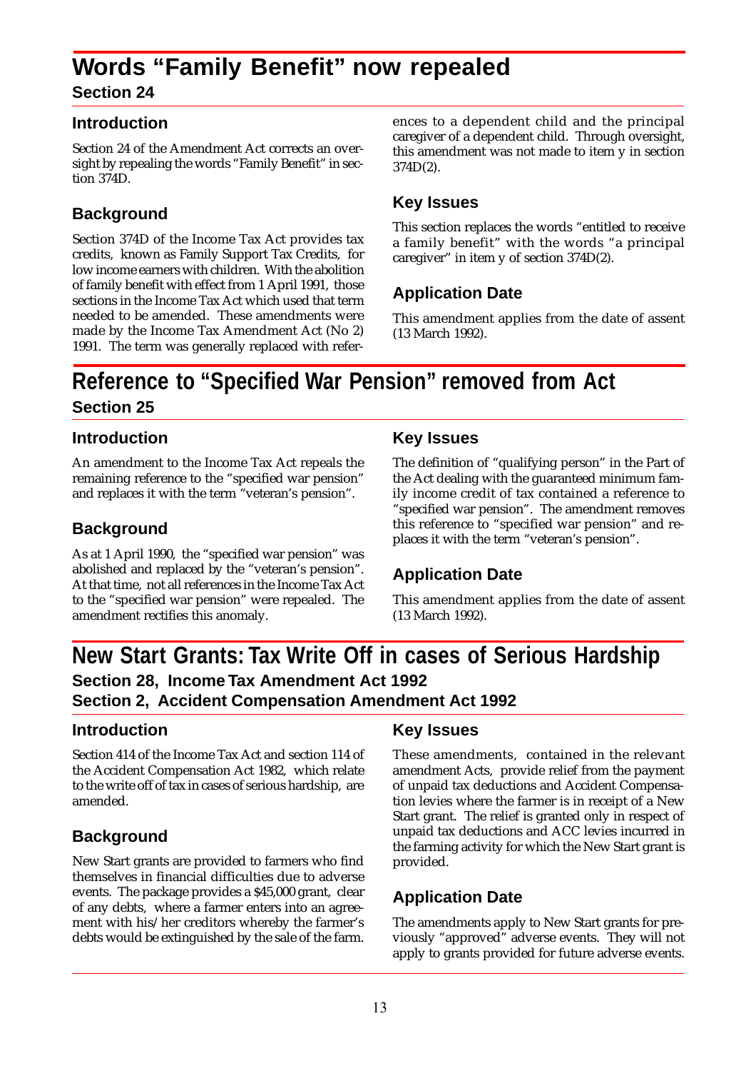### **Words "Family Benefit" now repealed Section 24**

#### **Introduction**

Section 24 of the Amendment Act corrects an oversight by repealing the words "Family Benefit" in section 374D.

#### **Background**

Section 374D of the Income Tax Act provides tax credits, known as Family Support Tax Credits, for low income earners with children. With the abolition of family benefit with effect from 1 April 1991, those sections in the Income Tax Act which used that term needed to be amended. These amendments were made by the Income Tax Amendment Act (No 2) 1991. The term was generally replaced with references to a dependent child and the principal caregiver of a dependent child. Through oversight, this amendment was not made to item y in section 374D(2).

#### **Key Issues**

This section replaces the words "entitled to receive a family benefit" with the words "a principal caregiver" in item y of section 374D(2).

#### **Application Date**

This amendment applies from the date of assent (13 March 1992).

### **Reference to "Specified War Pension" removed from Act Section 25**

#### **Introduction**

An amendment to the Income Tax Act repeals the remaining reference to the "specified war pension" and replaces it with the term "veteran's pension".

#### **Background**

As at 1 April 1990, the "specified war pension" was abolished and replaced by the "veteran's pension". At that time, not all references in the Income Tax Act to the "specified war pension" were repealed. The amendment rectifies this anomaly.

#### **Key Issues**

The definition of "qualifying person" in the Part of the Act dealing with the guaranteed minimum family income credit of tax contained a reference to "specified war pension". The amendment removes this reference to "specified war pension" and replaces it with the term "veteran's pension".

#### **Application Date**

This amendment applies from the date of assent (13 March 1992).

### **New Start Grants: Tax Write Off in cases of Serious Hardship Section 28, Income Tax Amendment Act 1992 Section 2, Accident Compensation Amendment Act 1992**

#### **Introduction**

Section 414 of the Income Tax Act and section 114 of the Accident Compensation Act 1982, which relate to the write off of tax in cases of serious hardship, are amended.

#### **Background**

New Start grants are provided to farmers who find themselves in financial difficulties due to adverse events. The package provides a \$45,000 grant, clear of any debts, where a farmer enters into an agreement with his/her creditors whereby the farmer's debts would be extinguished by the sale of the farm.

#### **Key Issues**

These amendments, contained in the relevant amendment Acts, provide relief from the payment of unpaid tax deductions and Accident Compensation levies where the farmer is in receipt of a New Start grant. The relief is granted only in respect of unpaid tax deductions and ACC levies incurred in the farming activity for which the New Start grant is provided.

#### **Application Date**

The amendments apply to New Start grants for previously "approved" adverse events. They will not apply to grants provided for future adverse events.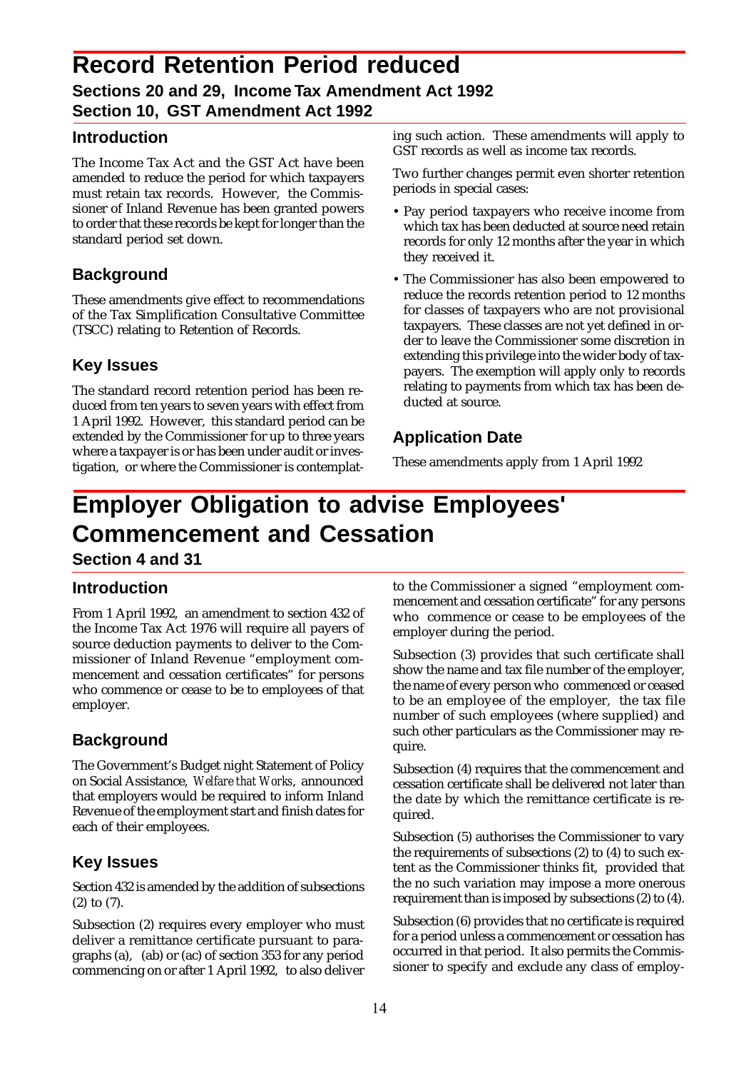### **Record Retention Period reduced Sections 20 and 29, Income Tax Amendment Act 1992 Section 10, GST Amendment Act 1992**

#### **Introduction**

The Income Tax Act and the GST Act have been amended to reduce the period for which taxpayers must retain tax records. However, the Commissioner of Inland Revenue has been granted powers to order that these records be kept for longer than the standard period set down.

#### **Background**

These amendments give effect to recommendations of the Tax Simplification Consultative Committee (TSCC) relating to Retention of Records.

#### **Key Issues**

The standard record retention period has been reduced from ten years to seven years with effect from 1 April 1992. However, this standard period can be extended by the Commissioner for up to three years where a taxpayer is or has been under audit or investigation, or where the Commissioner is contemplat-

ing such action. These amendments will apply to GST records as well as income tax records.

Two further changes permit even shorter retention periods in special cases:

- Pay period taxpayers who receive income from which tax has been deducted at source need retain records for only 12 months after the year in which they received it.
- The Commissioner has also been empowered to reduce the records retention period to 12 months for classes of taxpayers who are not provisional taxpayers. These classes are not yet defined in order to leave the Commissioner some discretion in extending this privilege into the wider body of taxpayers. The exemption will apply only to records relating to payments from which tax has been deducted at source.

#### **Application Date**

These amendments apply from 1 April 1992

# **Employer Obligation to advise Employees' Commencement and Cessation**

**Section 4 and 31**

#### **Introduction**

From 1 April 1992, an amendment to section 432 of the Income Tax Act 1976 will require all payers of source deduction payments to deliver to the Commissioner of Inland Revenue "employment commencement and cessation certificates" for persons who commence or cease to be to employees of that employer.

#### **Background**

The Government's Budget night Statement of Policy on Social Assistance, *Welfare that Works*, announced that employers would be required to inform Inland Revenue of the employment start and finish dates for each of their employees.

#### **Key Issues**

Section 432 is amended by the addition of subsections (2) to (7).

Subsection (2) requires every employer who must deliver a remittance certificate pursuant to paragraphs (a), (ab) or (ac) of section 353 for any period commencing on or after 1 April 1992, to also deliver to the Commissioner a signed "employment commencement and cessation certificate" for any persons who commence or cease to be employees of the employer during the period.

Subsection (3) provides that such certificate shall show the name and tax file number of the employer, the name of every person who commenced or ceased to be an employee of the employer, the tax file number of such employees (where supplied) and such other particulars as the Commissioner may require.

Subsection (4) requires that the commencement and cessation certificate shall be delivered not later than the date by which the remittance certificate is required.

Subsection (5) authorises the Commissioner to vary the requirements of subsections (2) to (4) to such extent as the Commissioner thinks fit, provided that the no such variation may impose a more onerous requirement than is imposed by subsections (2) to (4).

Subsection (6) provides that no certificate is required for a period unless a commencement or cessation has occurred in that period. It also permits the Commissioner to specify and exclude any class of employ-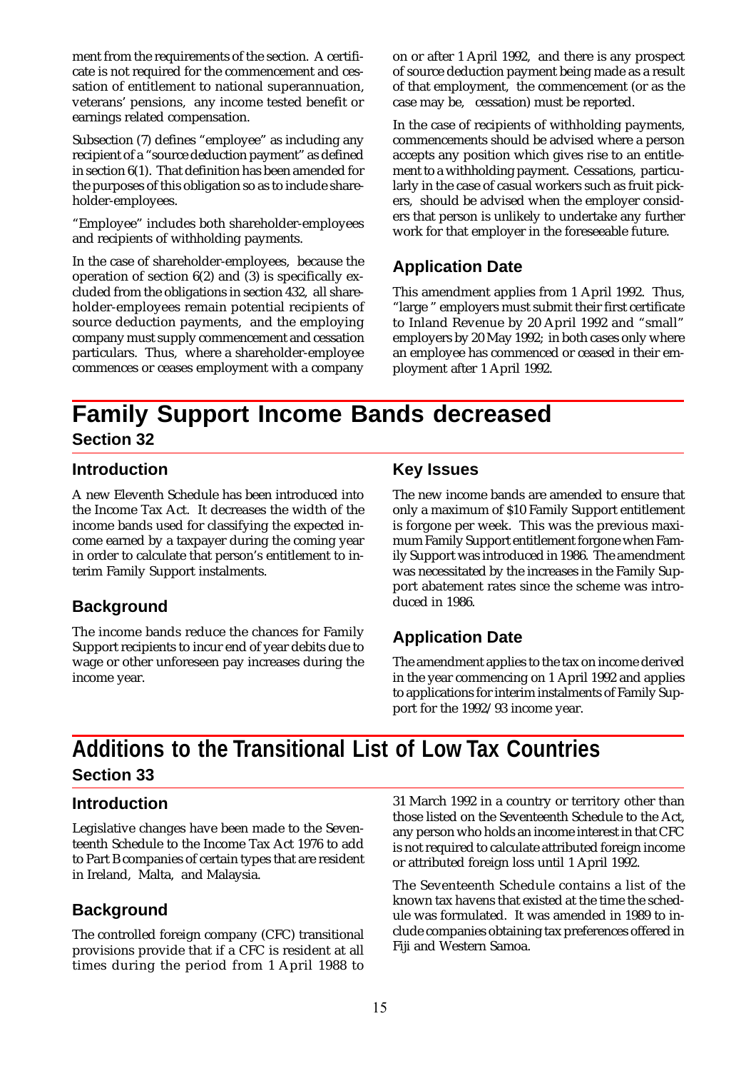ment from the requirements of the section. A certificate is not required for the commencement and cessation of entitlement to national superannuation, veterans' pensions, any income tested benefit or earnings related compensation.

Subsection (7) defines "employee" as including any recipient of a "source deduction payment" as defined in section 6(1). That definition has been amended for the purposes of this obligation so as to include shareholder-employees.

"Employee" includes both shareholder-employees and recipients of withholding payments.

In the case of shareholder-employees, because the operation of section 6(2) and (3) is specifically excluded from the obligations in section 432, all shareholder-employees remain potential recipients of source deduction payments, and the employing company must supply commencement and cessation particulars. Thus, where a shareholder-employee commences or ceases employment with a company on or after 1 April 1992, and there is any prospect of source deduction payment being made as a result of that employment, the commencement (or as the case may be, cessation) must be reported.

In the case of recipients of withholding payments, commencements should be advised where a person accepts any position which gives rise to an entitlement to a withholding payment. Cessations, particularly in the case of casual workers such as fruit pickers, should be advised when the employer considers that person is unlikely to undertake any further work for that employer in the foreseeable future.

#### **Application Date**

This amendment applies from 1 April 1992. Thus, "large " employers must submit their first certificate to Inland Revenue by 20 April 1992 and "small" employers by 20 May 1992; in both cases only where an employee has commenced or ceased in their employment after 1 April 1992.

### **Family Support Income Bands decreased Section 32**

#### **Introduction**

A new Eleventh Schedule has been introduced into the Income Tax Act. It decreases the width of the income bands used for classifying the expected income earned by a taxpayer during the coming year in order to calculate that person's entitlement to interim Family Support instalments.

#### **Background**

The income bands reduce the chances for Family Support recipients to incur end of year debits due to wage or other unforeseen pay increases during the income year.

#### **Key Issues**

The new income bands are amended to ensure that only a maximum of \$10 Family Support entitlement is forgone per week. This was the previous maximum Family Support entitlement forgone when Family Support was introduced in 1986. The amendment was necessitated by the increases in the Family Support abatement rates since the scheme was introduced in 1986.

#### **Application Date**

The amendment applies to the tax on income derived in the year commencing on 1 April 1992 and applies to applications for interim instalments of Family Support for the 1992/93 income year.

### **Additions to the Transitional List of Low Tax Countries Section 33**

#### **Introduction**

Legislative changes have been made to the Seventeenth Schedule to the Income Tax Act 1976 to add to Part B companies of certain types that are resident in Ireland, Malta, and Malaysia.

#### **Background**

The controlled foreign company (CFC) transitional provisions provide that if a CFC is resident at all times during the period from 1 April 1988 to 31 March 1992 in a country or territory other than those listed on the Seventeenth Schedule to the Act, any person who holds an income interest in that CFC is not required to calculate attributed foreign income or attributed foreign loss until 1 April 1992.

The Seventeenth Schedule contains a list of the known tax havens that existed at the time the schedule was formulated. It was amended in 1989 to include companies obtaining tax preferences offered in Fiji and Western Samoa.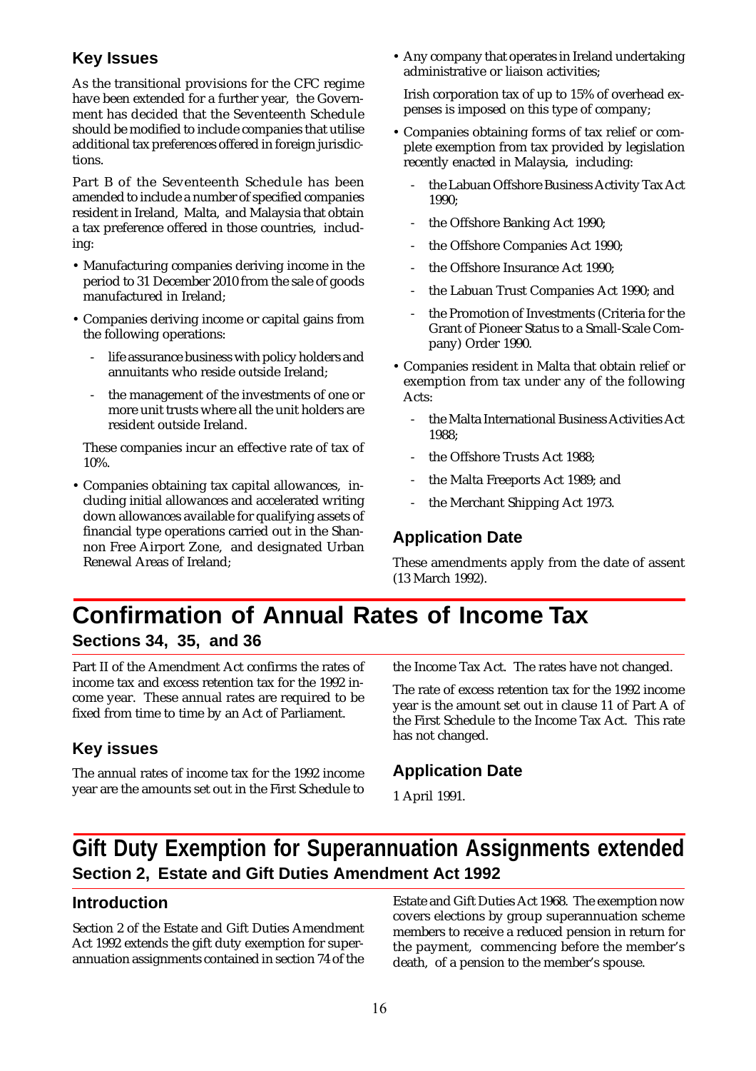#### **Key Issues**

As the transitional provisions for the CFC regime have been extended for a further year, the Government has decided that the Seventeenth Schedule should be modified to include companies that utilise additional tax preferences offered in foreign jurisdictions.

Part B of the Seventeenth Schedule has been amended to include a number of specified companies resident in Ireland, Malta, and Malaysia that obtain a tax preference offered in those countries, including:

- Manufacturing companies deriving income in the period to 31 December 2010 from the sale of goods manufactured in Ireland;
- Companies deriving income or capital gains from the following operations:
	- life assurance business with policy holders and annuitants who reside outside Ireland;
	- the management of the investments of one or more unit trusts where all the unit holders are resident outside Ireland.

These companies incur an effective rate of tax of 10%.

• Companies obtaining tax capital allowances, including initial allowances and accelerated writing down allowances available for qualifying assets of financial type operations carried out in the Shannon Free Airport Zone, and designated Urban Renewal Areas of Ireland;

• Any company that operates in Ireland undertaking administrative or liaison activities;

Irish corporation tax of up to 15% of overhead expenses is imposed on this type of company;

- Companies obtaining forms of tax relief or complete exemption from tax provided by legislation recently enacted in Malaysia, including:
	- the Labuan Offshore Business Activity Tax Act 1990;
	- the Offshore Banking Act 1990;
	- the Offshore Companies Act 1990;
	- the Offshore Insurance Act 1990;
	- the Labuan Trust Companies Act 1990; and
	- the Promotion of Investments (Criteria for the Grant of Pioneer Status to a Small-Scale Company) Order 1990.
- Companies resident in Malta that obtain relief or exemption from tax under any of the following Acts:
	- the Malta International Business Activities Act 1988;
	- the Offshore Trusts Act 1988:
	- the Malta Freeports Act 1989; and
	- the Merchant Shipping Act 1973.

#### **Application Date**

These amendments apply from the date of assent (13 March 1992).

### **Confirmation of Annual Rates of Income Tax Sections 34, 35, and 36**

Part II of the Amendment Act confirms the rates of income tax and excess retention tax for the 1992 income year. These annual rates are required to be fixed from time to time by an Act of Parliament.

#### **Key issues**

The annual rates of income tax for the 1992 income year are the amounts set out in the First Schedule to

the Income Tax Act. The rates have not changed.

The rate of excess retention tax for the 1992 income year is the amount set out in clause 11 of Part A of the First Schedule to the Income Tax Act. This rate has not changed.

#### **Application Date**

1 April 1991.

### **Gift Duty Exemption for Superannuation Assignments extended Section 2, Estate and Gift Duties Amendment Act 1992**

#### **Introduction**

Section 2 of the Estate and Gift Duties Amendment Act 1992 extends the gift duty exemption for superannuation assignments contained in section 74 of the Estate and Gift Duties Act 1968. The exemption now covers elections by group superannuation scheme members to receive a reduced pension in return for the payment, commencing before the member's death, of a pension to the member's spouse.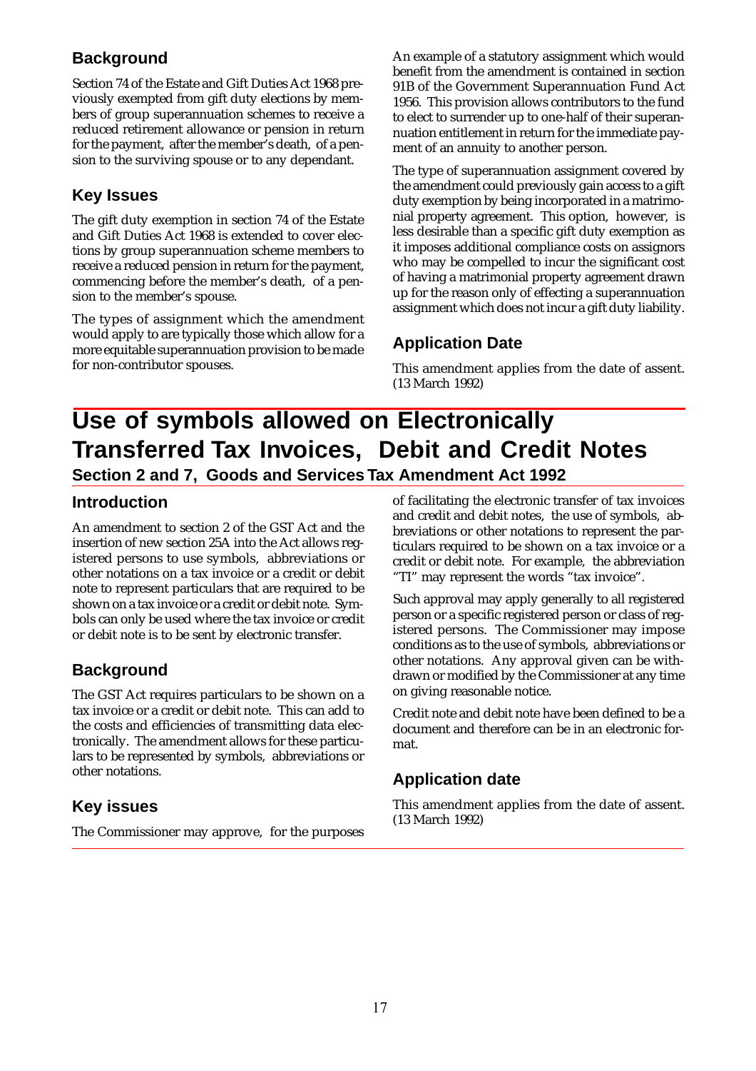#### **Background**

Section 74 of the Estate and Gift Duties Act 1968 previously exempted from gift duty elections by members of group superannuation schemes to receive a reduced retirement allowance or pension in return for the payment, after the member's death, of a pension to the surviving spouse or to any dependant.

#### **Key Issues**

The gift duty exemption in section 74 of the Estate and Gift Duties Act 1968 is extended to cover elections by group superannuation scheme members to receive a reduced pension in return for the payment, commencing before the member's death, of a pension to the member's spouse.

The types of assignment which the amendment would apply to are typically those which allow for a more equitable superannuation provision to be made for non-contributor spouses.

An example of a statutory assignment which would benefit from the amendment is contained in section 91B of the Government Superannuation Fund Act 1956. This provision allows contributors to the fund to elect to surrender up to one-half of their superannuation entitlement in return for the immediate payment of an annuity to another person.

The type of superannuation assignment covered by the amendment could previously gain access to a gift duty exemption by being incorporated in a matrimonial property agreement. This option, however, is less desirable than a specific gift duty exemption as it imposes additional compliance costs on assignors who may be compelled to incur the significant cost of having a matrimonial property agreement drawn up for the reason only of effecting a superannuation assignment which does not incur a gift duty liability.

#### **Application Date**

This amendment applies from the date of assent. (13 March 1992)

### **Use of symbols allowed on Electronically Transferred Tax Invoices, Debit and Credit Notes Section 2 and 7, Goods and Services Tax Amendment Act 1992**

#### **Introduction**

An amendment to section 2 of the GST Act and the insertion of new section 25A into the Act allows registered persons to use symbols, abbreviations or other notations on a tax invoice or a credit or debit note to represent particulars that are required to be shown on a tax invoice or a credit or debit note. Symbols can only be used where the tax invoice or credit or debit note is to be sent by electronic transfer.

#### **Background**

The GST Act requires particulars to be shown on a tax invoice or a credit or debit note. This can add to the costs and efficiencies of transmitting data electronically. The amendment allows for these particulars to be represented by symbols, abbreviations or other notations.

#### **Key issues**

The Commissioner may approve, for the purposes

of facilitating the electronic transfer of tax invoices and credit and debit notes, the use of symbols, abbreviations or other notations to represent the particulars required to be shown on a tax invoice or a credit or debit note. For example, the abbreviation "TI" may represent the words "tax invoice".

Such approval may apply generally to all registered person or a specific registered person or class of registered persons. The Commissioner may impose conditions as to the use of symbols, abbreviations or other notations. Any approval given can be withdrawn or modified by the Commissioner at any time on giving reasonable notice.

Credit note and debit note have been defined to be a document and therefore can be in an electronic format.

#### **Application date**

This amendment applies from the date of assent. (13 March 1992)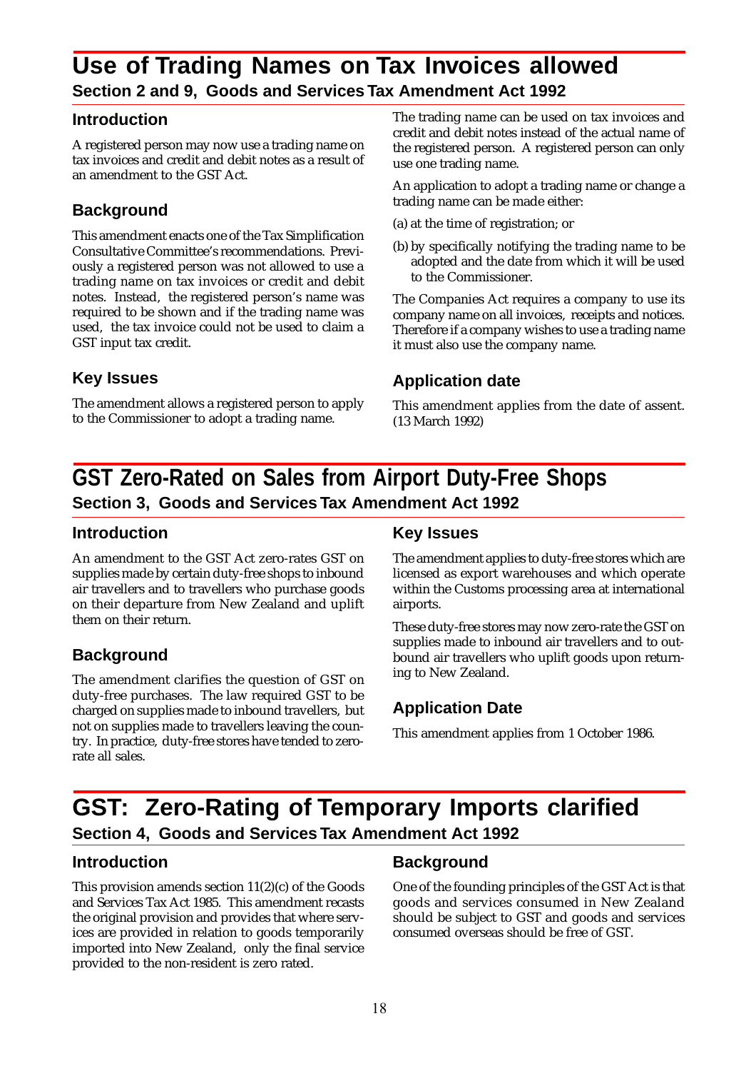### **Use of Trading Names on Tax Invoices allowed Section 2 and 9, Goods and Services Tax Amendment Act 1992**

#### **Introduction**

A registered person may now use a trading name on tax invoices and credit and debit notes as a result of an amendment to the GST Act.

#### **Background**

This amendment enacts one of the Tax Simplification Consultative Committee's recommendations. Previously a registered person was not allowed to use a trading name on tax invoices or credit and debit notes. Instead, the registered person's name was required to be shown and if the trading name was used, the tax invoice could not be used to claim a GST input tax credit.

#### **Key Issues**

The amendment allows a registered person to apply to the Commissioner to adopt a trading name.

The trading name can be used on tax invoices and credit and debit notes instead of the actual name of the registered person. A registered person can only use one trading name.

An application to adopt a trading name or change a trading name can be made either:

- (a) at the time of registration; or
- (b) by specifically notifying the trading name to be adopted and the date from which it will be used to the Commissioner.

The Companies Act requires a company to use its company name on all invoices, receipts and notices. Therefore if a company wishes to use a trading name it must also use the company name.

#### **Application date**

This amendment applies from the date of assent. (13 March 1992)

### **GST Zero-Rated on Sales from Airport Duty-Free Shops Section 3, Goods and Services Tax Amendment Act 1992**

#### **Introduction**

An amendment to the GST Act zero-rates GST on supplies made by certain duty-free shops to inbound air travellers and to travellers who purchase goods on their departure from New Zealand and uplift them on their return.

#### **Background**

The amendment clarifies the question of GST on duty-free purchases. The law required GST to be charged on supplies made to inbound travellers, but not on supplies made to travellers leaving the country. In practice, duty-free stores have tended to zerorate all sales.

#### **Key Issues**

The amendment applies to duty-free stores which are licensed as export warehouses and which operate within the Customs processing area at international airports.

These duty-free stores may now zero-rate the GST on supplies made to inbound air travellers and to outbound air travellers who uplift goods upon returning to New Zealand.

#### **Application Date**

This amendment applies from 1 October 1986.

### **GST: Zero-Rating of Temporary Imports clarified Section 4, Goods and Services Tax Amendment Act 1992**

#### **Introduction**

This provision amends section 11(2)(c) of the Goods and Services Tax Act 1985. This amendment recasts the original provision and provides that where services are provided in relation to goods temporarily imported into New Zealand, only the final service provided to the non-resident is zero rated.

#### **Background**

One of the founding principles of the GST Act is that goods and services consumed in New Zealand should be subject to GST and goods and services consumed overseas should be free of GST.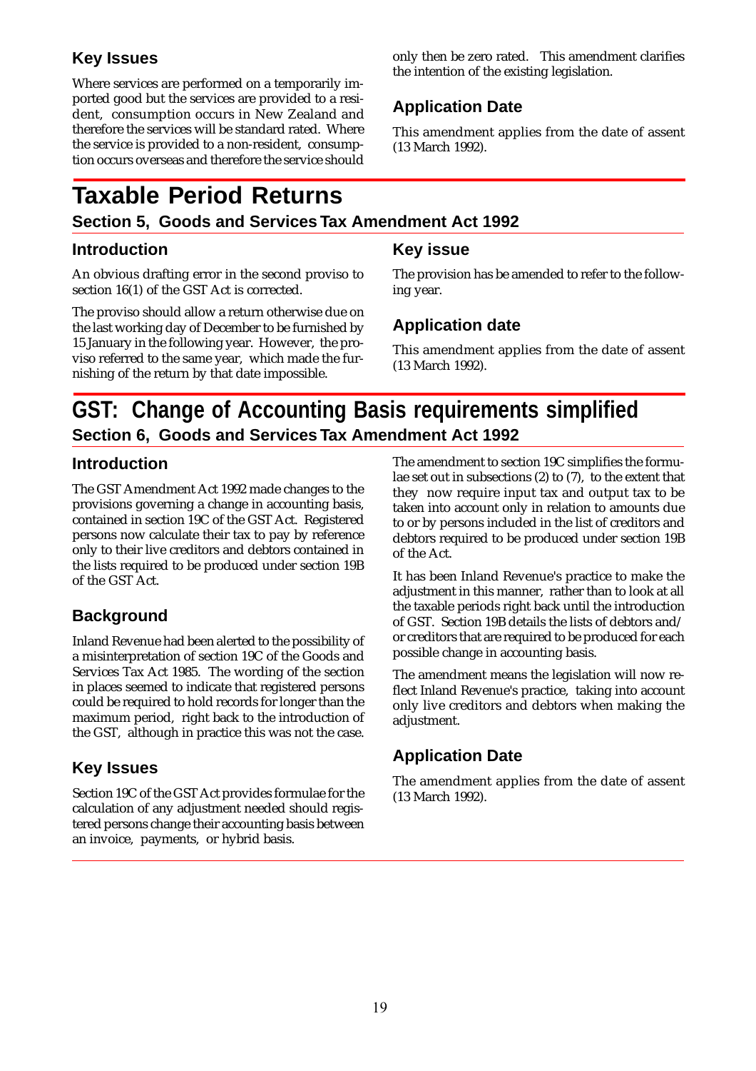#### **Key Issues**

Where services are performed on a temporarily imported good but the services are provided to a resident, consumption occurs in New Zealand and therefore the services will be standard rated. Where the service is provided to a non-resident, consumption occurs overseas and therefore the service should

# **Taxable Period Returns**

#### **Section 5, Goods and Services Tax Amendment Act 1992**

#### **Introduction**

An obvious drafting error in the second proviso to section 16(1) of the GST Act is corrected.

The proviso should allow a return otherwise due on the last working day of December to be furnished by 15 January in the following year. However, the proviso referred to the same year, which made the furnishing of the return by that date impossible.

only then be zero rated. This amendment clarifies the intention of the existing legislation.

#### **Application Date**

This amendment applies from the date of assent (13 March 1992).

#### **Key issue**

The provision has be amended to refer to the following year.

#### **Application date**

This amendment applies from the date of assent (13 March 1992).

### **GST: Change of Accounting Basis requirements simplified Section 6, Goods and Services Tax Amendment Act 1992**

#### **Introduction**

The GST Amendment Act 1992 made changes to the provisions governing a change in accounting basis, contained in section 19C of the GST Act. Registered persons now calculate their tax to pay by reference only to their live creditors and debtors contained in the lists required to be produced under section 19B of the GST Act.

#### **Background**

Inland Revenue had been alerted to the possibility of a misinterpretation of section 19C of the Goods and Services Tax Act 1985. The wording of the section in places seemed to indicate that registered persons could be required to hold records for longer than the maximum period, right back to the introduction of the GST, although in practice this was not the case.

#### **Key Issues**

Section 19C of the GST Act provides formulae for the calculation of any adjustment needed should registered persons change their accounting basis between an invoice, payments, or hybrid basis.

The amendment to section 19C simplifies the formulae set out in subsections (2) to (7), to the extent that they now require input tax and output tax to be taken into account only in relation to amounts due to or by persons included in the list of creditors and debtors required to be produced under section 19B of the Act.

It has been Inland Revenue's practice to make the adjustment in this manner, rather than to look at all the taxable periods right back until the introduction of GST. Section 19B details the lists of debtors and/ or creditors that are required to be produced for each possible change in accounting basis.

The amendment means the legislation will now reflect Inland Revenue's practice, taking into account only live creditors and debtors when making the adjustment.

#### **Application Date**

The amendment applies from the date of assent (13 March 1992).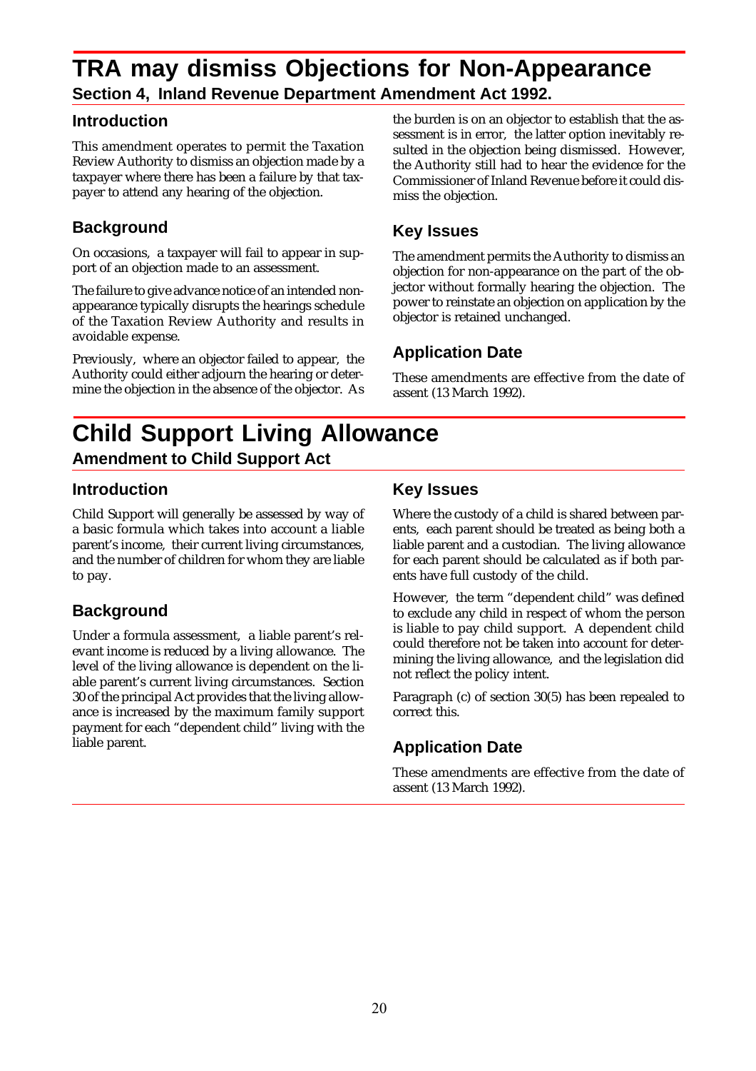### **TRA may dismiss Objections for Non-Appearance Section 4, Inland Revenue Department Amendment Act 1992.**

#### **Introduction**

This amendment operates to permit the Taxation Review Authority to dismiss an objection made by a taxpayer where there has been a failure by that taxpayer to attend any hearing of the objection.

#### **Background**

On occasions, a taxpayer will fail to appear in support of an objection made to an assessment.

The failure to give advance notice of an intended nonappearance typically disrupts the hearings schedule of the Taxation Review Authority and results in avoidable expense.

Previously, where an objector failed to appear, the Authority could either adjourn the hearing or determine the objection in the absence of the objector. As the burden is on an objector to establish that the assessment is in error, the latter option inevitably resulted in the objection being dismissed. However, the Authority still had to hear the evidence for the Commissioner of Inland Revenue before it could dismiss the objection.

#### **Key Issues**

The amendment permits the Authority to dismiss an objection for non-appearance on the part of the objector without formally hearing the objection. The power to reinstate an objection on application by the objector is retained unchanged.

#### **Application Date**

These amendments are effective from the date of assent (13 March 1992).

### **Child Support Living Allowance Amendment to Child Support Act**

#### **Introduction**

Child Support will generally be assessed by way of a basic formula which takes into account a liable parent's income, their current living circumstances, and the number of children for whom they are liable to pay.

#### **Background**

Under a formula assessment, a liable parent's relevant income is reduced by a living allowance. The level of the living allowance is dependent on the liable parent's current living circumstances. Section 30 of the principal Act provides that the living allowance is increased by the maximum family support payment for each "dependent child" living with the liable parent.

#### **Key Issues**

Where the custody of a child is shared between parents, each parent should be treated as being both a liable parent and a custodian. The living allowance for each parent should be calculated as if both parents have full custody of the child.

However, the term "dependent child" was defined to exclude any child in respect of whom the person is liable to pay child support. A dependent child could therefore not be taken into account for determining the living allowance, and the legislation did not reflect the policy intent.

Paragraph (c) of section 30(5) has been repealed to correct this.

#### **Application Date**

These amendments are effective from the date of assent (13 March 1992).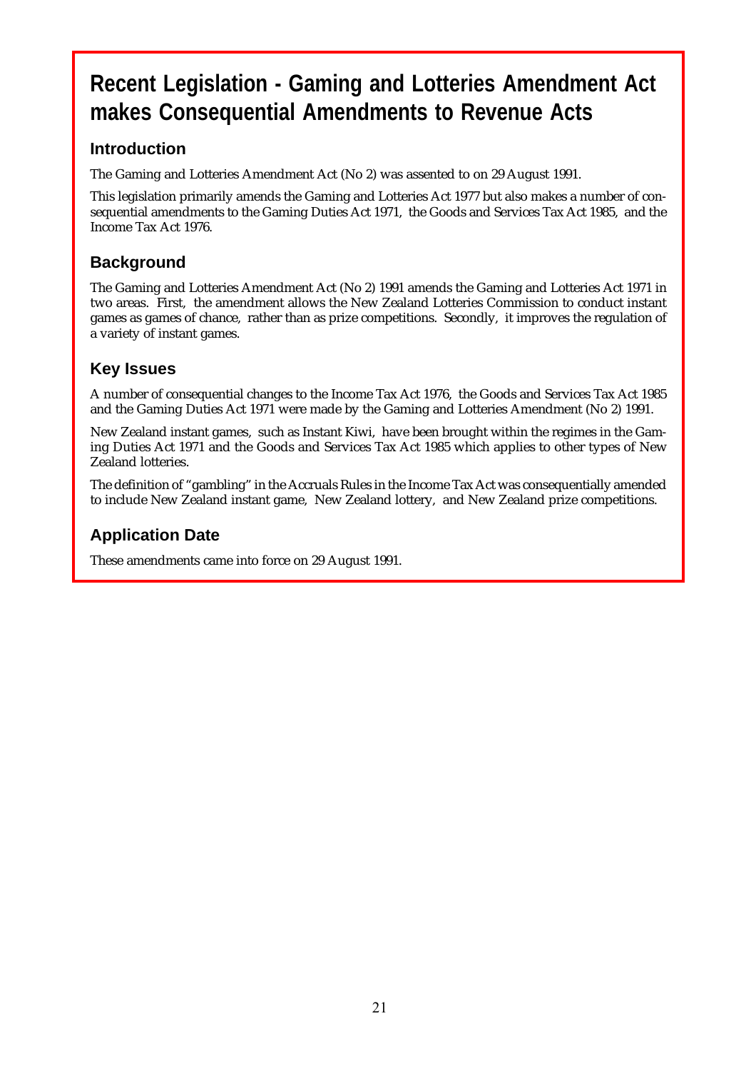## **Recent Legislation - Gaming and Lotteries Amendment Act makes Consequential Amendments to Revenue Acts**

#### **Introduction**

The Gaming and Lotteries Amendment Act (No 2) was assented to on 29 August 1991.

This legislation primarily amends the Gaming and Lotteries Act 1977 but also makes a number of consequential amendments to the Gaming Duties Act 1971, the Goods and Services Tax Act 1985, and the Income Tax Act 1976.

#### **Background**

The Gaming and Lotteries Amendment Act (No 2) 1991 amends the Gaming and Lotteries Act 1971 in two areas. First, the amendment allows the New Zealand Lotteries Commission to conduct instant games as games of chance, rather than as prize competitions. Secondly, it improves the regulation of a variety of instant games.

#### **Key Issues**

A number of consequential changes to the Income Tax Act 1976, the Goods and Services Tax Act 1985 and the Gaming Duties Act 1971 were made by the Gaming and Lotteries Amendment (No 2) 1991.

New Zealand instant games, such as Instant Kiwi, have been brought within the regimes in the Gaming Duties Act 1971 and the Goods and Services Tax Act 1985 which applies to other types of New Zealand lotteries.

The definition of "gambling" in the Accruals Rules in the Income Tax Act was consequentially amended to include New Zealand instant game, New Zealand lottery, and New Zealand prize competitions.

#### **Application Date**

These amendments came into force on 29 August 1991.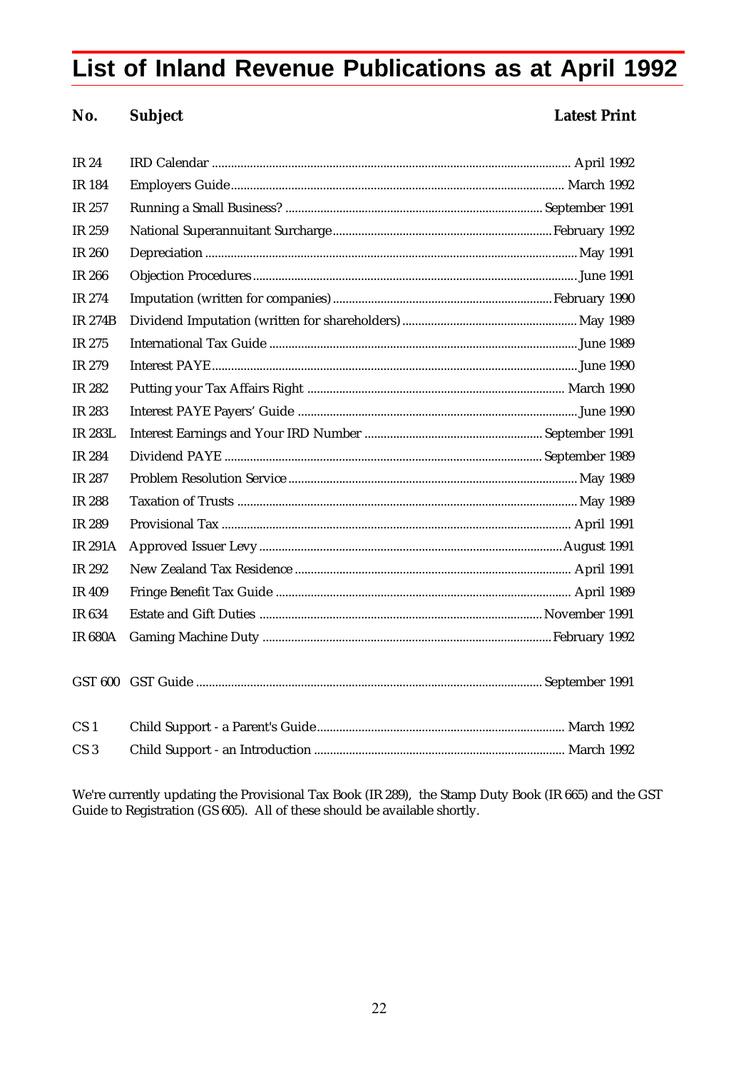# **List of Inland Revenue Publications as at April 1992**

#### **No. Subject Latest Print**

| <b>IR 24</b>    |  |
|-----------------|--|
| <b>IR 184</b>   |  |
| IR 257          |  |
| IR 259          |  |
| <b>IR 260</b>   |  |
| <b>IR 266</b>   |  |
| IR 274          |  |
| <b>IR 274B</b>  |  |
| IR 275          |  |
| IR 279          |  |
| IR 282          |  |
| IR 283          |  |
| <b>IR 283L</b>  |  |
| IR 284          |  |
| IR 287          |  |
| <b>IR 288</b>   |  |
| IR 289          |  |
| <b>IR 291A</b>  |  |
| IR 292          |  |
| <b>IR 409</b>   |  |
| IR 634          |  |
| <b>IR 680A</b>  |  |
|                 |  |
|                 |  |
|                 |  |
| CS <sub>1</sub> |  |
| CS <sub>3</sub> |  |

We're currently updating the Provisional Tax Book (IR 289), the Stamp Duty Book (IR 665) and the GST Guide to Registration (GS 605). All of these should be available shortly.